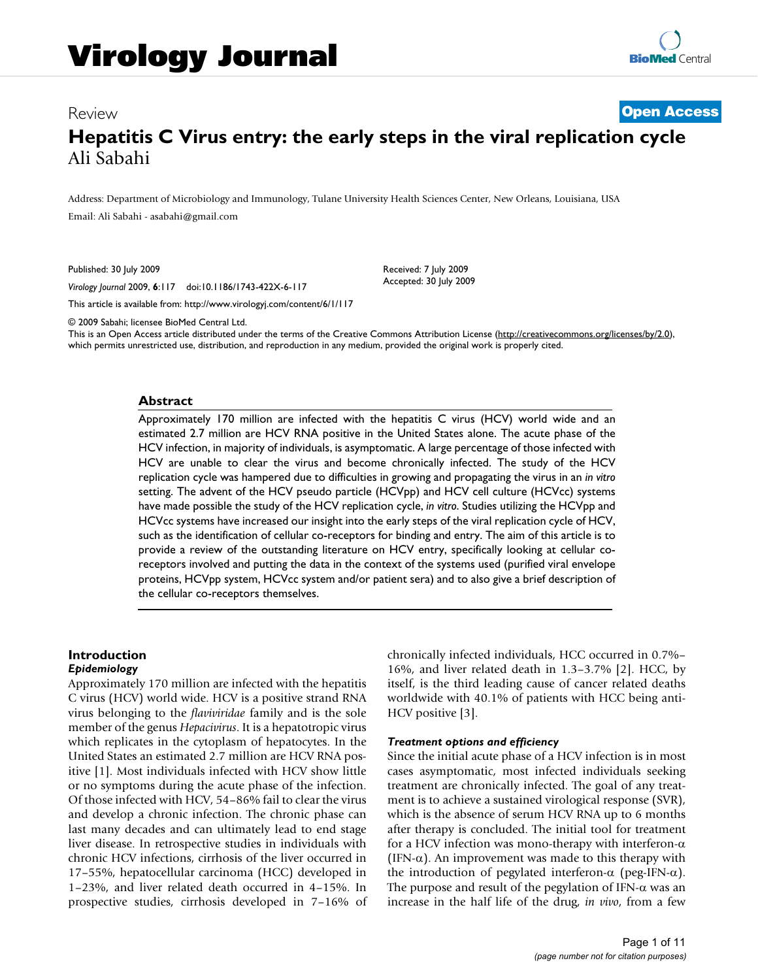# Review **[Open Access](http://www.biomedcentral.com/info/about/charter/) Hepatitis C Virus entry: the early steps in the viral replication cycle** Ali Sabahi

Address: Department of Microbiology and Immunology, Tulane University Health Sciences Center, New Orleans, Louisiana, USA Email: Ali Sabahi - asabahi@gmail.co[m](http://www.ncbi.nlm.nih.gov/entrez/query.fcgi?cmd=Retrieve&db=PubMed&dopt=Abstract&list_uids=19643019)

Published: 30 July 2009

*Virology Journal* 2009, **6**:117 doi:10.1186/1743-422X-6-117

Received: 7 July 2009 Accepted: 30 July 2009

[This article is available from: http://www.virologyj.com/content/6/1/117](http://www.virologyj.com/content/6/1/117) © 2009 Sabahi; licensee BioMed Central Ltd.

This is an Open Access article distributed under the terms of the Creative Commons Attribution License [\(http://creativecommons.org/licenses/by/2.0\)](http://creativecommons.org/licenses/by/2.0), which permits unrestricted use, distribution, and reproduction in any medium, provided the original work is properly cited.

#### **Abstract**

Approximately 170 million are infected with the hepatitis C virus (HCV) world wide and an estimated 2.7 million are HCV RNA positive in the United States alone. The acute phase of the HCV infection, in majority of individuals, is asymptomatic. A large percentage of those infected with HCV are unable to clear the virus and become chronically infected. The study of the HCV replication cycle was hampered due to difficulties in growing and propagating the virus in an *in vitro* setting. The advent of the HCV pseudo particle (HCVpp) and HCV cell culture (HCVcc) systems have made possible the study of the HCV replication cycle, *in vitro*. Studies utilizing the HCVpp and HCVcc systems have increased our insight into the early steps of the viral replication cycle of HCV, such as the identification of cellular co-receptors for binding and entry. The aim of this article is to provide a review of the outstanding literature on HCV entry, specifically looking at cellular coreceptors involved and putting the data in the context of the systems used (purified viral envelope proteins, HCVpp system, HCVcc system and/or patient sera) and to also give a brief description of the cellular co-receptors themselves.

#### **Introduction** *Epidemiology*

Approximately 170 million are infected with the hepatitis C virus (HCV) world wide. HCV is a positive strand RNA virus belonging to the *flaviviridae* family and is the sole member of the genus *Hepacivirus*. It is a hepatotropic virus which replicates in the cytoplasm of hepatocytes. In the United States an estimated 2.7 million are HCV RNA positive [1]. Most individuals infected with HCV show little or no symptoms during the acute phase of the infection. Of those infected with HCV, 54–86% fail to clear the virus and develop a chronic infection. The chronic phase can last many decades and can ultimately lead to end stage liver disease. In retrospective studies in individuals with chronic HCV infections, cirrhosis of the liver occurred in 17–55%, hepatocellular carcinoma (HCC) developed in 1–23%, and liver related death occurred in 4–15%. In prospective studies, cirrhosis developed in 7–16% of chronically infected individuals, HCC occurred in 0.7%– 16%, and liver related death in 1.3–3.7% [2]. HCC, by itself, is the third leading cause of cancer related deaths worldwide with 40.1% of patients with HCC being anti-HCV positive [3].

#### *Treatment options and efficiency*

Since the initial acute phase of a HCV infection is in most cases asymptomatic, most infected individuals seeking treatment are chronically infected. The goal of any treatment is to achieve a sustained virological response (SVR), which is the absence of serum HCV RNA up to 6 months after therapy is concluded. The initial tool for treatment for a HCV infection was mono-therapy with interferon- $\alpha$ (IFN- $\alpha$ ). An improvement was made to this therapy with the introduction of pegylated interferon-α (peg-IFN-α). The purpose and result of the pegylation of IFN- $\alpha$  was an increase in the half life of the drug, *in vivo*, from a few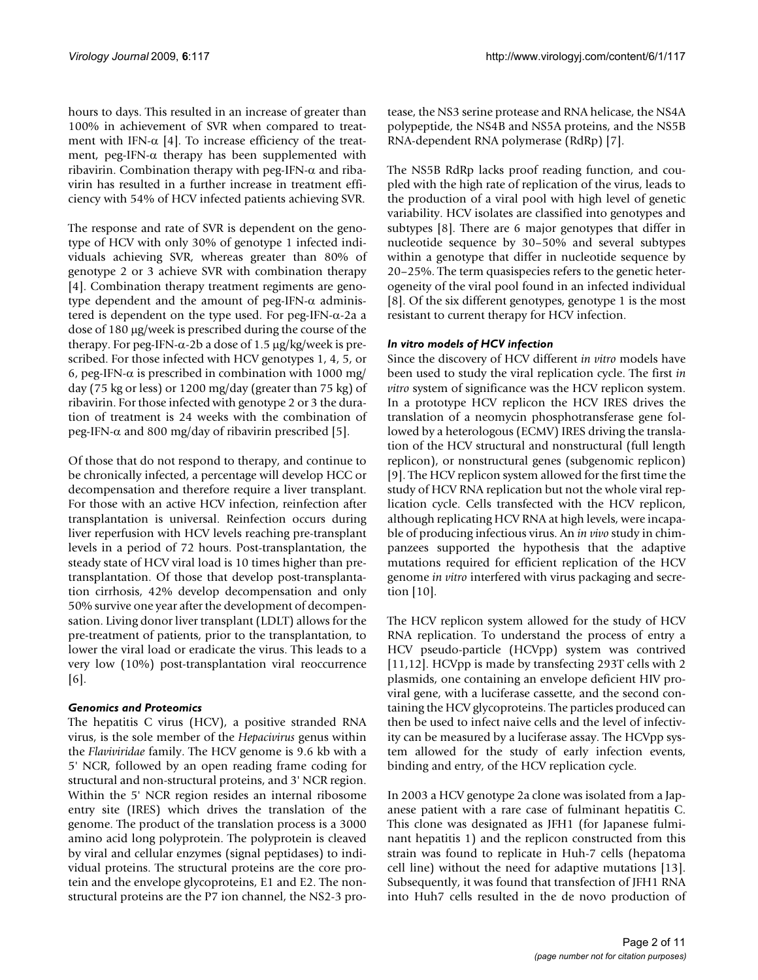hours to days. This resulted in an increase of greater than 100% in achievement of SVR when compared to treatment with IFN- $\alpha$  [4]. To increase efficiency of the treatment, peg-IFN-α therapy has been supplemented with ribavirin. Combination therapy with peg-IFN-α and ribavirin has resulted in a further increase in treatment efficiency with 54% of HCV infected patients achieving SVR.

The response and rate of SVR is dependent on the genotype of HCV with only 30% of genotype 1 infected individuals achieving SVR, whereas greater than 80% of genotype 2 or 3 achieve SVR with combination therapy [4]. Combination therapy treatment regiments are genotype dependent and the amount of peg-IFN- $\alpha$  administered is dependent on the type used. For peg-IFN-α-2a a dose of 180 μg/week is prescribed during the course of the therapy. For peg-IFN- $\alpha$ -2b a dose of 1.5  $\mu$ g/kg/week is prescribed. For those infected with HCV genotypes 1, 4, 5, or 6, peg-IFN-α is prescribed in combination with 1000 mg/ day (75 kg or less) or 1200 mg/day (greater than 75 kg) of ribavirin. For those infected with genotype 2 or 3 the duration of treatment is 24 weeks with the combination of peg-IFN- $α$  and 800 mg/day of ribavirin prescribed [5].

Of those that do not respond to therapy, and continue to be chronically infected, a percentage will develop HCC or decompensation and therefore require a liver transplant. For those with an active HCV infection, reinfection after transplantation is universal. Reinfection occurs during liver reperfusion with HCV levels reaching pre-transplant levels in a period of 72 hours. Post-transplantation, the steady state of HCV viral load is 10 times higher than pretransplantation. Of those that develop post-transplantation cirrhosis, 42% develop decompensation and only 50% survive one year after the development of decompensation. Living donor liver transplant (LDLT) allows for the pre-treatment of patients, prior to the transplantation, to lower the viral load or eradicate the virus. This leads to a very low (10%) post-transplantation viral reoccurrence [6].

# *Genomics and Proteomics*

The hepatitis C virus (HCV), a positive stranded RNA virus, is the sole member of the *Hepacivirus* genus within the *Flaviviridae* family. The HCV genome is 9.6 kb with a 5' NCR, followed by an open reading frame coding for structural and non-structural proteins, and 3' NCR region. Within the 5' NCR region resides an internal ribosome entry site (IRES) which drives the translation of the genome. The product of the translation process is a 3000 amino acid long polyprotein. The polyprotein is cleaved by viral and cellular enzymes (signal peptidases) to individual proteins. The structural proteins are the core protein and the envelope glycoproteins, E1 and E2. The nonstructural proteins are the P7 ion channel, the NS2-3 protease, the NS3 serine protease and RNA helicase, the NS4A polypeptide, the NS4B and NS5A proteins, and the NS5B RNA-dependent RNA polymerase (RdRp) [7].

The NS5B RdRp lacks proof reading function, and coupled with the high rate of replication of the virus, leads to the production of a viral pool with high level of genetic variability. HCV isolates are classified into genotypes and subtypes [8]. There are 6 major genotypes that differ in nucleotide sequence by 30–50% and several subtypes within a genotype that differ in nucleotide sequence by 20–25%. The term quasispecies refers to the genetic heterogeneity of the viral pool found in an infected individual [8]. Of the six different genotypes, genotype 1 is the most resistant to current therapy for HCV infection.

# *In vitro models of HCV infection*

Since the discovery of HCV different *in vitro* models have been used to study the viral replication cycle. The first *in vitro* system of significance was the HCV replicon system. In a prototype HCV replicon the HCV IRES drives the translation of a neomycin phosphotransferase gene followed by a heterologous (ECMV) IRES driving the translation of the HCV structural and nonstructural (full length replicon), or nonstructural genes (subgenomic replicon) [9]. The HCV replicon system allowed for the first time the study of HCV RNA replication but not the whole viral replication cycle. Cells transfected with the HCV replicon, although replicating HCV RNA at high levels, were incapable of producing infectious virus. An *in vivo* study in chimpanzees supported the hypothesis that the adaptive mutations required for efficient replication of the HCV genome *in vitro* interfered with virus packaging and secretion [10].

The HCV replicon system allowed for the study of HCV RNA replication. To understand the process of entry a HCV pseudo-particle (HCVpp) system was contrived [11,12]. HCVpp is made by transfecting 293T cells with 2 plasmids, one containing an envelope deficient HIV proviral gene, with a luciferase cassette, and the second containing the HCV glycoproteins. The particles produced can then be used to infect naive cells and the level of infectivity can be measured by a luciferase assay. The HCVpp system allowed for the study of early infection events, binding and entry, of the HCV replication cycle.

In 2003 a HCV genotype 2a clone was isolated from a Japanese patient with a rare case of fulminant hepatitis C. This clone was designated as JFH1 (for Japanese fulminant hepatitis 1) and the replicon constructed from this strain was found to replicate in Huh-7 cells (hepatoma cell line) without the need for adaptive mutations [13]. Subsequently, it was found that transfection of JFH1 RNA into Huh7 cells resulted in the de novo production of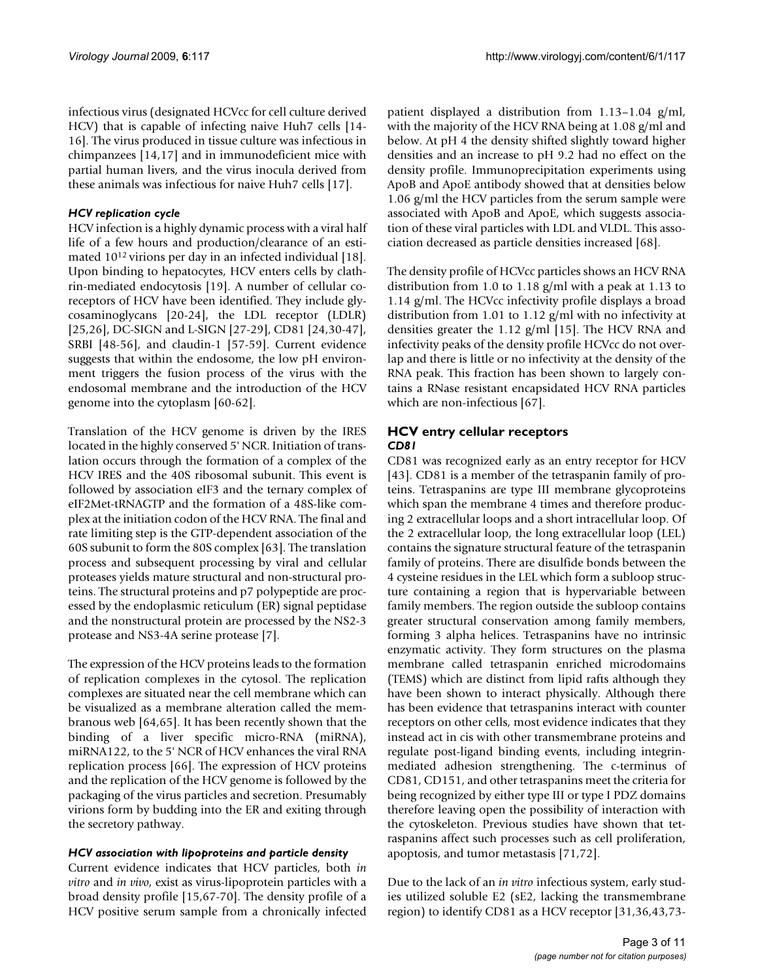infectious virus (designated HCVcc for cell culture derived HCV) that is capable of infecting naive Huh7 cells [14- 16]. The virus produced in tissue culture was infectious in chimpanzees [14,17] and in immunodeficient mice with partial human livers, and the virus inocula derived from these animals was infectious for naive Huh7 cells [17].

## *HCV replication cycle*

HCV infection is a highly dynamic process with a viral half life of a few hours and production/clearance of an estimated 1012 virions per day in an infected individual [18]. Upon binding to hepatocytes, HCV enters cells by clathrin-mediated endocytosis [19]. A number of cellular coreceptors of HCV have been identified. They include glycosaminoglycans [20-24], the LDL receptor (LDLR) [25,26], DC-SIGN and L-SIGN [27-29], CD81 [24,30-47], SRBI [48-56], and claudin-1 [57-59]. Current evidence suggests that within the endosome, the low pH environment triggers the fusion process of the virus with the endosomal membrane and the introduction of the HCV genome into the cytoplasm [60-62].

Translation of the HCV genome is driven by the IRES located in the highly conserved 5' NCR. Initiation of translation occurs through the formation of a complex of the HCV IRES and the 40S ribosomal subunit. This event is followed by association eIF3 and the ternary complex of eIF2Met-tRNAGTP and the formation of a 48S-like complex at the initiation codon of the HCV RNA. The final and rate limiting step is the GTP-dependent association of the 60S subunit to form the 80S complex [63]. The translation process and subsequent processing by viral and cellular proteases yields mature structural and non-structural proteins. The structural proteins and p7 polypeptide are processed by the endoplasmic reticulum (ER) signal peptidase and the nonstructural protein are processed by the NS2-3 protease and NS3-4A serine protease [7].

The expression of the HCV proteins leads to the formation of replication complexes in the cytosol. The replication complexes are situated near the cell membrane which can be visualized as a membrane alteration called the membranous web [64,65]. It has been recently shown that the binding of a liver specific micro-RNA (miRNA), miRNA122, to the 5' NCR of HCV enhances the viral RNA replication process [66]. The expression of HCV proteins and the replication of the HCV genome is followed by the packaging of the virus particles and secretion. Presumably virions form by budding into the ER and exiting through the secretory pathway.

### *HCV association with lipoproteins and particle density*

Current evidence indicates that HCV particles, both *in vitro* and *in vivo*, exist as virus-lipoprotein particles with a broad density profile [15,67-70]. The density profile of a HCV positive serum sample from a chronically infected

patient displayed a distribution from 1.13–1.04 g/ml, with the majority of the HCV RNA being at 1.08 g/ml and below. At pH 4 the density shifted slightly toward higher densities and an increase to pH 9.2 had no effect on the density profile. Immunoprecipitation experiments using ApoB and ApoE antibody showed that at densities below 1.06 g/ml the HCV particles from the serum sample were associated with ApoB and ApoE, which suggests association of these viral particles with LDL and VLDL. This association decreased as particle densities increased [68].

The density profile of HCVcc particles shows an HCV RNA distribution from 1.0 to 1.18 g/ml with a peak at 1.13 to 1.14 g/ml. The HCVcc infectivity profile displays a broad distribution from 1.01 to 1.12 g/ml with no infectivity at densities greater the 1.12 g/ml [15]. The HCV RNA and infectivity peaks of the density profile HCVcc do not overlap and there is little or no infectivity at the density of the RNA peak. This fraction has been shown to largely contains a RNase resistant encapsidated HCV RNA particles which are non-infectious [67].

## **HCV entry cellular receptors** *CD81*

CD81 was recognized early as an entry receptor for HCV [43]. CD81 is a member of the tetraspanin family of proteins. Tetraspanins are type III membrane glycoproteins which span the membrane 4 times and therefore producing 2 extracellular loops and a short intracellular loop. Of the 2 extracellular loop, the long extracellular loop (LEL) contains the signature structural feature of the tetraspanin family of proteins. There are disulfide bonds between the 4 cysteine residues in the LEL which form a subloop structure containing a region that is hypervariable between family members. The region outside the subloop contains greater structural conservation among family members, forming 3 alpha helices. Tetraspanins have no intrinsic enzymatic activity. They form structures on the plasma membrane called tetraspanin enriched microdomains (TEMS) which are distinct from lipid rafts although they have been shown to interact physically. Although there has been evidence that tetraspanins interact with counter receptors on other cells, most evidence indicates that they instead act in cis with other transmembrane proteins and regulate post-ligand binding events, including integrinmediated adhesion strengthening. The c-terminus of CD81, CD151, and other tetraspanins meet the criteria for being recognized by either type III or type I PDZ domains therefore leaving open the possibility of interaction with the cytoskeleton. Previous studies have shown that tetraspanins affect such processes such as cell proliferation, apoptosis, and tumor metastasis [71,72].

Due to the lack of an *in vitro* infectious system, early studies utilized soluble E2 (sE2, lacking the transmembrane region) to identify CD81 as a HCV receptor [31,36,43,73-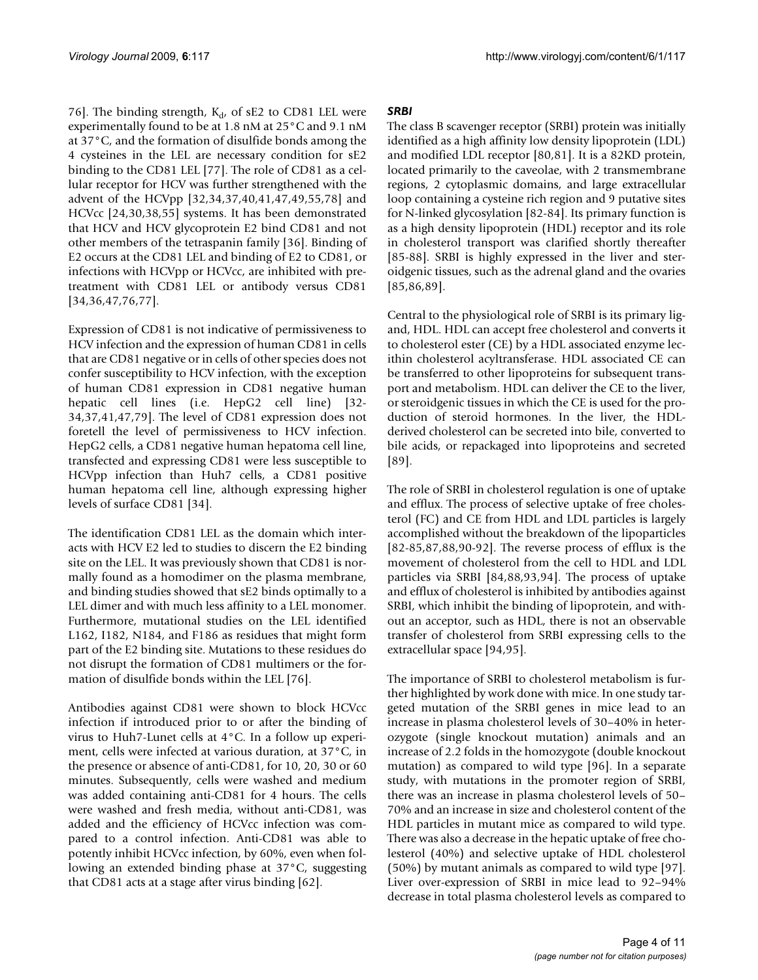76]. The binding strength,  $K_{d}$  of sE2 to CD81 LEL were experimentally found to be at 1.8 nM at 25°C and 9.1 nM at 37°C, and the formation of disulfide bonds among the 4 cysteines in the LEL are necessary condition for sE2 binding to the CD81 LEL [77]. The role of CD81 as a cellular receptor for HCV was further strengthened with the advent of the HCVpp [32,34,37,40,41,47,49,55,78] and HCVcc [24,30,38,55] systems. It has been demonstrated that HCV and HCV glycoprotein E2 bind CD81 and not other members of the tetraspanin family [36]. Binding of E2 occurs at the CD81 LEL and binding of E2 to CD81, or infections with HCVpp or HCVcc, are inhibited with pretreatment with CD81 LEL or antibody versus CD81 [34,36,47,76,77].

Expression of CD81 is not indicative of permissiveness to HCV infection and the expression of human CD81 in cells that are CD81 negative or in cells of other species does not confer susceptibility to HCV infection, with the exception of human CD81 expression in CD81 negative human hepatic cell lines (i.e. HepG2 cell line) [32- 34,37,41,47,79]. The level of CD81 expression does not foretell the level of permissiveness to HCV infection. HepG2 cells, a CD81 negative human hepatoma cell line, transfected and expressing CD81 were less susceptible to HCVpp infection than Huh7 cells, a CD81 positive human hepatoma cell line, although expressing higher levels of surface CD81 [34].

The identification CD81 LEL as the domain which interacts with HCV E2 led to studies to discern the E2 binding site on the LEL. It was previously shown that CD81 is normally found as a homodimer on the plasma membrane, and binding studies showed that sE2 binds optimally to a LEL dimer and with much less affinity to a LEL monomer. Furthermore, mutational studies on the LEL identified L162, I182, N184, and F186 as residues that might form part of the E2 binding site. Mutations to these residues do not disrupt the formation of CD81 multimers or the formation of disulfide bonds within the LEL [76].

Antibodies against CD81 were shown to block HCVcc infection if introduced prior to or after the binding of virus to Huh7-Lunet cells at 4°C. In a follow up experiment, cells were infected at various duration, at 37°C, in the presence or absence of anti-CD81, for 10, 20, 30 or 60 minutes. Subsequently, cells were washed and medium was added containing anti-CD81 for 4 hours. The cells were washed and fresh media, without anti-CD81, was added and the efficiency of HCVcc infection was compared to a control infection. Anti-CD81 was able to potently inhibit HCVcc infection, by 60%, even when following an extended binding phase at 37°C, suggesting that CD81 acts at a stage after virus binding [62].

## *SRBI*

The class B scavenger receptor (SRBI) protein was initially identified as a high affinity low density lipoprotein (LDL) and modified LDL receptor [80,81]. It is a 82KD protein, located primarily to the caveolae, with 2 transmembrane regions, 2 cytoplasmic domains, and large extracellular loop containing a cysteine rich region and 9 putative sites for N-linked glycosylation [82-84]. Its primary function is as a high density lipoprotein (HDL) receptor and its role in cholesterol transport was clarified shortly thereafter [85-88]. SRBI is highly expressed in the liver and steroidgenic tissues, such as the adrenal gland and the ovaries [85,86,89].

Central to the physiological role of SRBI is its primary ligand, HDL. HDL can accept free cholesterol and converts it to cholesterol ester (CE) by a HDL associated enzyme lecithin cholesterol acyltransferase. HDL associated CE can be transferred to other lipoproteins for subsequent transport and metabolism. HDL can deliver the CE to the liver, or steroidgenic tissues in which the CE is used for the production of steroid hormones. In the liver, the HDLderived cholesterol can be secreted into bile, converted to bile acids, or repackaged into lipoproteins and secreted [89].

The role of SRBI in cholesterol regulation is one of uptake and efflux. The process of selective uptake of free cholesterol (FC) and CE from HDL and LDL particles is largely accomplished without the breakdown of the lipoparticles [82-85,87,88,90-92]. The reverse process of efflux is the movement of cholesterol from the cell to HDL and LDL particles via SRBI [84,88,93,94]. The process of uptake and efflux of cholesterol is inhibited by antibodies against SRBI, which inhibit the binding of lipoprotein, and without an acceptor, such as HDL, there is not an observable transfer of cholesterol from SRBI expressing cells to the extracellular space [94,95].

The importance of SRBI to cholesterol metabolism is further highlighted by work done with mice. In one study targeted mutation of the SRBI genes in mice lead to an increase in plasma cholesterol levels of 30–40% in heterozygote (single knockout mutation) animals and an increase of 2.2 folds in the homozygote (double knockout mutation) as compared to wild type [96]. In a separate study, with mutations in the promoter region of SRBI, there was an increase in plasma cholesterol levels of 50– 70% and an increase in size and cholesterol content of the HDL particles in mutant mice as compared to wild type. There was also a decrease in the hepatic uptake of free cholesterol (40%) and selective uptake of HDL cholesterol (50%) by mutant animals as compared to wild type [97]. Liver over-expression of SRBI in mice lead to 92–94% decrease in total plasma cholesterol levels as compared to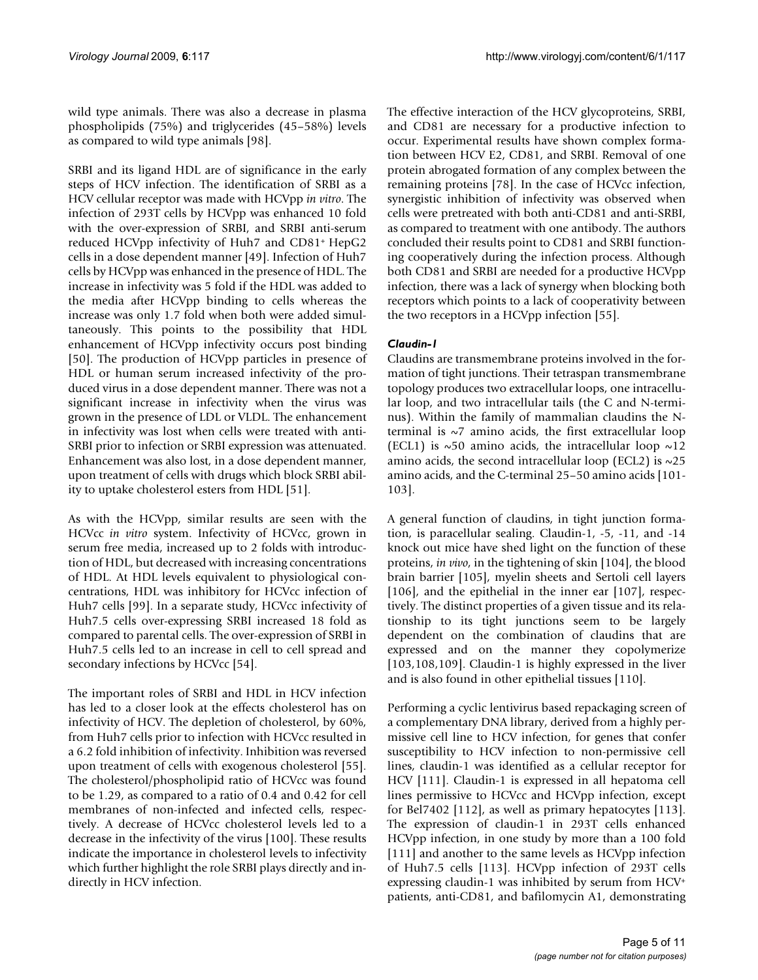wild type animals. There was also a decrease in plasma phospholipids (75%) and triglycerides (45–58%) levels as compared to wild type animals [98].

SRBI and its ligand HDL are of significance in the early steps of HCV infection. The identification of SRBI as a HCV cellular receptor was made with HCVpp *in vitro*. The infection of 293T cells by HCVpp was enhanced 10 fold with the over-expression of SRBI, and SRBI anti-serum reduced HCVpp infectivity of Huh7 and CD81+ HepG2 cells in a dose dependent manner [49]. Infection of Huh7 cells by HCVpp was enhanced in the presence of HDL. The increase in infectivity was 5 fold if the HDL was added to the media after HCVpp binding to cells whereas the increase was only 1.7 fold when both were added simultaneously. This points to the possibility that HDL enhancement of HCVpp infectivity occurs post binding [50]. The production of HCVpp particles in presence of HDL or human serum increased infectivity of the produced virus in a dose dependent manner. There was not a significant increase in infectivity when the virus was grown in the presence of LDL or VLDL. The enhancement in infectivity was lost when cells were treated with anti-SRBI prior to infection or SRBI expression was attenuated. Enhancement was also lost, in a dose dependent manner, upon treatment of cells with drugs which block SRBI ability to uptake cholesterol esters from HDL [51].

As with the HCVpp, similar results are seen with the HCVcc *in vitro* system. Infectivity of HCVcc, grown in serum free media, increased up to 2 folds with introduction of HDL, but decreased with increasing concentrations of HDL. At HDL levels equivalent to physiological concentrations, HDL was inhibitory for HCVcc infection of Huh7 cells [99]. In a separate study, HCVcc infectivity of Huh7.5 cells over-expressing SRBI increased 18 fold as compared to parental cells. The over-expression of SRBI in Huh7.5 cells led to an increase in cell to cell spread and secondary infections by HCVcc [54].

The important roles of SRBI and HDL in HCV infection has led to a closer look at the effects cholesterol has on infectivity of HCV. The depletion of cholesterol, by 60%, from Huh7 cells prior to infection with HCVcc resulted in a 6.2 fold inhibition of infectivity. Inhibition was reversed upon treatment of cells with exogenous cholesterol [55]. The cholesterol/phospholipid ratio of HCVcc was found to be 1.29, as compared to a ratio of 0.4 and 0.42 for cell membranes of non-infected and infected cells, respectively. A decrease of HCVcc cholesterol levels led to a decrease in the infectivity of the virus [100]. These results indicate the importance in cholesterol levels to infectivity which further highlight the role SRBI plays directly and indirectly in HCV infection.

The effective interaction of the HCV glycoproteins, SRBI, and CD81 are necessary for a productive infection to occur. Experimental results have shown complex formation between HCV E2, CD81, and SRBI. Removal of one protein abrogated formation of any complex between the remaining proteins [78]. In the case of HCVcc infection, synergistic inhibition of infectivity was observed when cells were pretreated with both anti-CD81 and anti-SRBI, as compared to treatment with one antibody. The authors concluded their results point to CD81 and SRBI functioning cooperatively during the infection process. Although both CD81 and SRBI are needed for a productive HCVpp infection, there was a lack of synergy when blocking both receptors which points to a lack of cooperativity between the two receptors in a HCVpp infection [55].

# *Claudin-1*

Claudins are transmembrane proteins involved in the formation of tight junctions. Their tetraspan transmembrane topology produces two extracellular loops, one intracellular loop, and two intracellular tails (the C and N-terminus). Within the family of mammalian claudins the Nterminal is  $\sim$ 7 amino acids, the first extracellular loop (ECL1) is  $\sim$  50 amino acids, the intracellular loop  $\sim$  12 amino acids, the second intracellular loop (ECL2) is  $\sim$ 25 amino acids, and the C-terminal 25–50 amino acids [101- 103].

A general function of claudins, in tight junction formation, is paracellular sealing. Claudin-1, -5, -11, and -14 knock out mice have shed light on the function of these proteins, *in vivo*, in the tightening of skin [104], the blood brain barrier [105], myelin sheets and Sertoli cell layers [106], and the epithelial in the inner ear [107], respectively. The distinct properties of a given tissue and its relationship to its tight junctions seem to be largely dependent on the combination of claudins that are expressed and on the manner they copolymerize [103,108,109]. Claudin-1 is highly expressed in the liver and is also found in other epithelial tissues [110].

Performing a cyclic lentivirus based repackaging screen of a complementary DNA library, derived from a highly permissive cell line to HCV infection, for genes that confer susceptibility to HCV infection to non-permissive cell lines, claudin-1 was identified as a cellular receptor for HCV [111]. Claudin-1 is expressed in all hepatoma cell lines permissive to HCVcc and HCVpp infection, except for Bel7402 [112], as well as primary hepatocytes [113]. The expression of claudin-1 in 293T cells enhanced HCVpp infection, in one study by more than a 100 fold [111] and another to the same levels as HCVpp infection of Huh7.5 cells [113]. HCVpp infection of 293T cells expressing claudin-1 was inhibited by serum from HCV+ patients, anti-CD81, and bafilomycin A1, demonstrating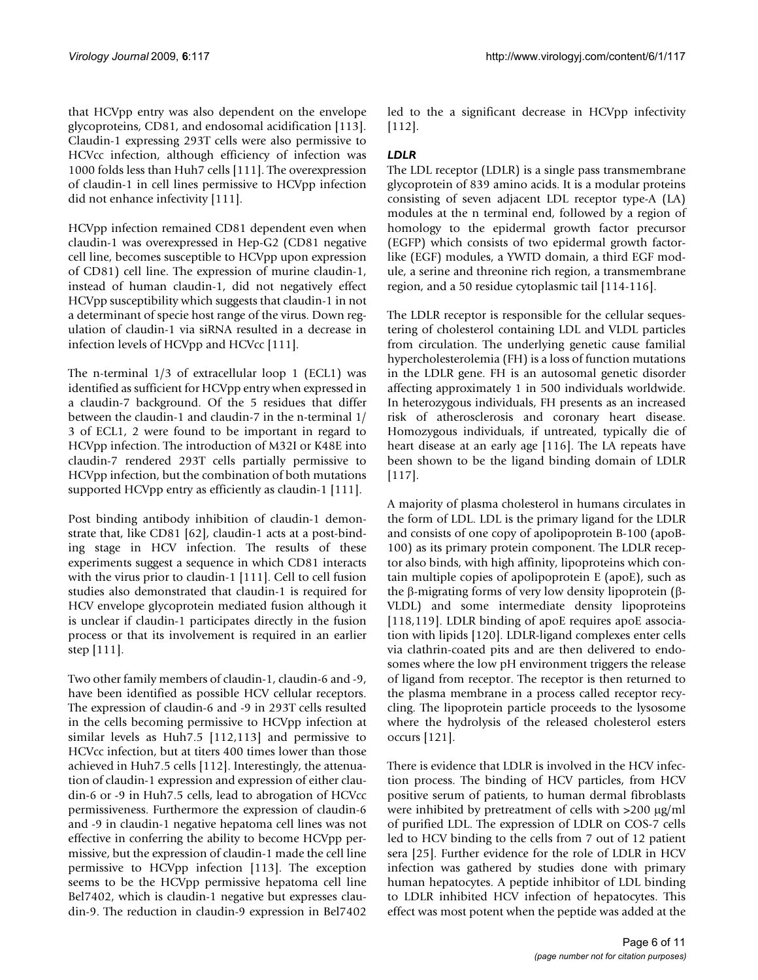that HCVpp entry was also dependent on the envelope glycoproteins, CD81, and endosomal acidification [113]. Claudin-1 expressing 293T cells were also permissive to HCVcc infection, although efficiency of infection was 1000 folds less than Huh7 cells [111]. The overexpression of claudin-1 in cell lines permissive to HCVpp infection did not enhance infectivity [111].

HCVpp infection remained CD81 dependent even when claudin-1 was overexpressed in Hep-G2 (CD81 negative cell line, becomes susceptible to HCVpp upon expression of CD81) cell line. The expression of murine claudin-1, instead of human claudin-1, did not negatively effect HCVpp susceptibility which suggests that claudin-1 in not a determinant of specie host range of the virus. Down regulation of claudin-1 via siRNA resulted in a decrease in infection levels of HCVpp and HCVcc [111].

The n-terminal 1/3 of extracellular loop 1 (ECL1) was identified as sufficient for HCVpp entry when expressed in a claudin-7 background. Of the 5 residues that differ between the claudin-1 and claudin-7 in the n-terminal 1/ 3 of ECL1, 2 were found to be important in regard to HCVpp infection. The introduction of M32I or K48E into claudin-7 rendered 293T cells partially permissive to HCVpp infection, but the combination of both mutations supported HCVpp entry as efficiently as claudin-1 [111].

Post binding antibody inhibition of claudin-1 demonstrate that, like CD81 [62], claudin-1 acts at a post-binding stage in HCV infection. The results of these experiments suggest a sequence in which CD81 interacts with the virus prior to claudin-1 [111]. Cell to cell fusion studies also demonstrated that claudin-1 is required for HCV envelope glycoprotein mediated fusion although it is unclear if claudin-1 participates directly in the fusion process or that its involvement is required in an earlier step [111].

Two other family members of claudin-1, claudin-6 and -9, have been identified as possible HCV cellular receptors. The expression of claudin-6 and -9 in 293T cells resulted in the cells becoming permissive to HCVpp infection at similar levels as Huh7.5 [112,113] and permissive to HCVcc infection, but at titers 400 times lower than those achieved in Huh7.5 cells [112]. Interestingly, the attenuation of claudin-1 expression and expression of either claudin-6 or -9 in Huh7.5 cells, lead to abrogation of HCVcc permissiveness. Furthermore the expression of claudin-6 and -9 in claudin-1 negative hepatoma cell lines was not effective in conferring the ability to become HCVpp permissive, but the expression of claudin-1 made the cell line permissive to HCVpp infection [113]. The exception seems to be the HCVpp permissive hepatoma cell line Bel7402, which is claudin-1 negative but expresses claudin-9. The reduction in claudin-9 expression in Bel7402

led to the a significant decrease in HCVpp infectivity [112].

# *LDLR*

The LDL receptor (LDLR) is a single pass transmembrane glycoprotein of 839 amino acids. It is a modular proteins consisting of seven adjacent LDL receptor type-A (LA) modules at the n terminal end, followed by a region of homology to the epidermal growth factor precursor (EGFP) which consists of two epidermal growth factorlike (EGF) modules, a YWTD domain, a third EGF module, a serine and threonine rich region, a transmembrane region, and a 50 residue cytoplasmic tail [114-116].

The LDLR receptor is responsible for the cellular sequestering of cholesterol containing LDL and VLDL particles from circulation. The underlying genetic cause familial hypercholesterolemia (FH) is a loss of function mutations in the LDLR gene. FH is an autosomal genetic disorder affecting approximately 1 in 500 individuals worldwide. In heterozygous individuals, FH presents as an increased risk of atherosclerosis and coronary heart disease. Homozygous individuals, if untreated, typically die of heart disease at an early age [116]. The LA repeats have been shown to be the ligand binding domain of LDLR [117].

A majority of plasma cholesterol in humans circulates in the form of LDL. LDL is the primary ligand for the LDLR and consists of one copy of apolipoprotein B-100 (apoB-100) as its primary protein component. The LDLR receptor also binds, with high affinity, lipoproteins which contain multiple copies of apolipoprotein E (apoE), such as the β-migrating forms of very low density lipoprotein (β-VLDL) and some intermediate density lipoproteins [118,119]. LDLR binding of apoE requires apoE association with lipids [120]. LDLR-ligand complexes enter cells via clathrin-coated pits and are then delivered to endosomes where the low pH environment triggers the release of ligand from receptor. The receptor is then returned to the plasma membrane in a process called receptor recycling. The lipoprotein particle proceeds to the lysosome where the hydrolysis of the released cholesterol esters occurs [121].

There is evidence that LDLR is involved in the HCV infection process. The binding of HCV particles, from HCV positive serum of patients, to human dermal fibroblasts were inhibited by pretreatment of cells with >200 μg/ml of purified LDL. The expression of LDLR on COS-7 cells led to HCV binding to the cells from 7 out of 12 patient sera [25]. Further evidence for the role of LDLR in HCV infection was gathered by studies done with primary human hepatocytes. A peptide inhibitor of LDL binding to LDLR inhibited HCV infection of hepatocytes. This effect was most potent when the peptide was added at the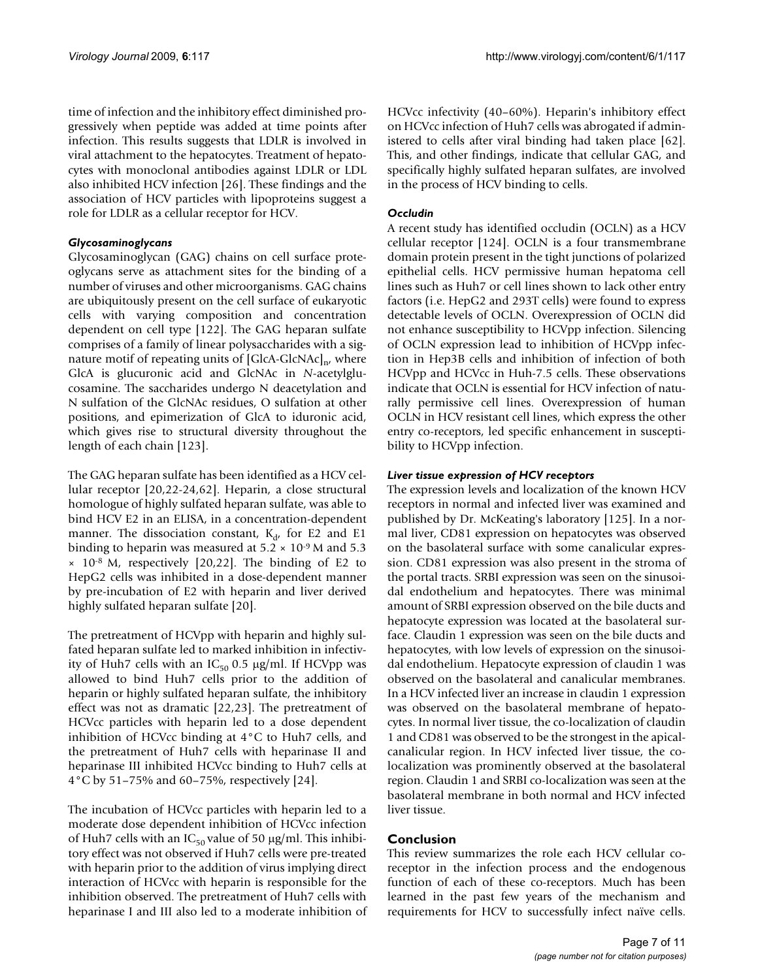time of infection and the inhibitory effect diminished progressively when peptide was added at time points after infection. This results suggests that LDLR is involved in viral attachment to the hepatocytes. Treatment of hepatocytes with monoclonal antibodies against LDLR or LDL also inhibited HCV infection [26]. These findings and the association of HCV particles with lipoproteins suggest a role for LDLR as a cellular receptor for HCV.

## *Glycosaminoglycans*

Glycosaminoglycan (GAG) chains on cell surface proteoglycans serve as attachment sites for the binding of a number of viruses and other microorganisms. GAG chains are ubiquitously present on the cell surface of eukaryotic cells with varying composition and concentration dependent on cell type [122]. The GAG heparan sulfate comprises of a family of linear polysaccharides with a signature motif of repeating units of  $[GlcA-GlcNAc]_{n'}$ , where GlcA is glucuronic acid and GlcNAc in *N*-acetylglucosamine. The saccharides undergo N deacetylation and N sulfation of the GlcNAc residues, O sulfation at other positions, and epimerization of GlcA to iduronic acid, which gives rise to structural diversity throughout the length of each chain [123].

The GAG heparan sulfate has been identified as a HCV cellular receptor [20,22-24,62]. Heparin, a close structural homologue of highly sulfated heparan sulfate, was able to bind HCV E2 in an ELISA, in a concentration-dependent manner. The dissociation constant,  $K_d$ , for E2 and E1 binding to heparin was measured at  $5.2 \times 10^{-9}$  M and  $5.3$  $\times$  10<sup>-8</sup> M, respectively [20,22]. The binding of E2 to HepG2 cells was inhibited in a dose-dependent manner by pre-incubation of E2 with heparin and liver derived highly sulfated heparan sulfate [20].

The pretreatment of HCVpp with heparin and highly sulfated heparan sulfate led to marked inhibition in infectivity of Huh7 cells with an  $IC_{50}$  0.5  $\mu$ g/ml. If HCVpp was allowed to bind Huh7 cells prior to the addition of heparin or highly sulfated heparan sulfate, the inhibitory effect was not as dramatic [22,23]. The pretreatment of HCVcc particles with heparin led to a dose dependent inhibition of HCVcc binding at 4°C to Huh7 cells, and the pretreatment of Huh7 cells with heparinase II and heparinase III inhibited HCVcc binding to Huh7 cells at 4°C by 51–75% and 60–75%, respectively [24].

The incubation of HCVcc particles with heparin led to a moderate dose dependent inhibition of HCVcc infection of Huh7 cells with an  $IC_{50}$  value of 50  $\mu$ g/ml. This inhibitory effect was not observed if Huh7 cells were pre-treated with heparin prior to the addition of virus implying direct interaction of HCVcc with heparin is responsible for the inhibition observed. The pretreatment of Huh7 cells with heparinase I and III also led to a moderate inhibition of HCVcc infectivity (40–60%). Heparin's inhibitory effect on HCVcc infection of Huh7 cells was abrogated if administered to cells after viral binding had taken place [62]. This, and other findings, indicate that cellular GAG, and specifically highly sulfated heparan sulfates, are involved in the process of HCV binding to cells.

# *Occludin*

A recent study has identified occludin (OCLN) as a HCV cellular receptor [124]. OCLN is a four transmembrane domain protein present in the tight junctions of polarized epithelial cells. HCV permissive human hepatoma cell lines such as Huh7 or cell lines shown to lack other entry factors (i.e. HepG2 and 293T cells) were found to express detectable levels of OCLN. Overexpression of OCLN did not enhance susceptibility to HCVpp infection. Silencing of OCLN expression lead to inhibition of HCVpp infection in Hep3B cells and inhibition of infection of both HCVpp and HCVcc in Huh-7.5 cells. These observations indicate that OCLN is essential for HCV infection of naturally permissive cell lines. Overexpression of human OCLN in HCV resistant cell lines, which express the other entry co-receptors, led specific enhancement in susceptibility to HCVpp infection.

# *Liver tissue expression of HCV receptors*

The expression levels and localization of the known HCV receptors in normal and infected liver was examined and published by Dr. McKeating's laboratory [125]. In a normal liver, CD81 expression on hepatocytes was observed on the basolateral surface with some canalicular expression. CD81 expression was also present in the stroma of the portal tracts. SRBI expression was seen on the sinusoidal endothelium and hepatocytes. There was minimal amount of SRBI expression observed on the bile ducts and hepatocyte expression was located at the basolateral surface. Claudin 1 expression was seen on the bile ducts and hepatocytes, with low levels of expression on the sinusoidal endothelium. Hepatocyte expression of claudin 1 was observed on the basolateral and canalicular membranes. In a HCV infected liver an increase in claudin 1 expression was observed on the basolateral membrane of hepatocytes. In normal liver tissue, the co-localization of claudin 1 and CD81 was observed to be the strongest in the apicalcanalicular region. In HCV infected liver tissue, the colocalization was prominently observed at the basolateral region. Claudin 1 and SRBI co-localization was seen at the basolateral membrane in both normal and HCV infected liver tissue.

# **Conclusion**

This review summarizes the role each HCV cellular coreceptor in the infection process and the endogenous function of each of these co-receptors. Much has been learned in the past few years of the mechanism and requirements for HCV to successfully infect naïve cells.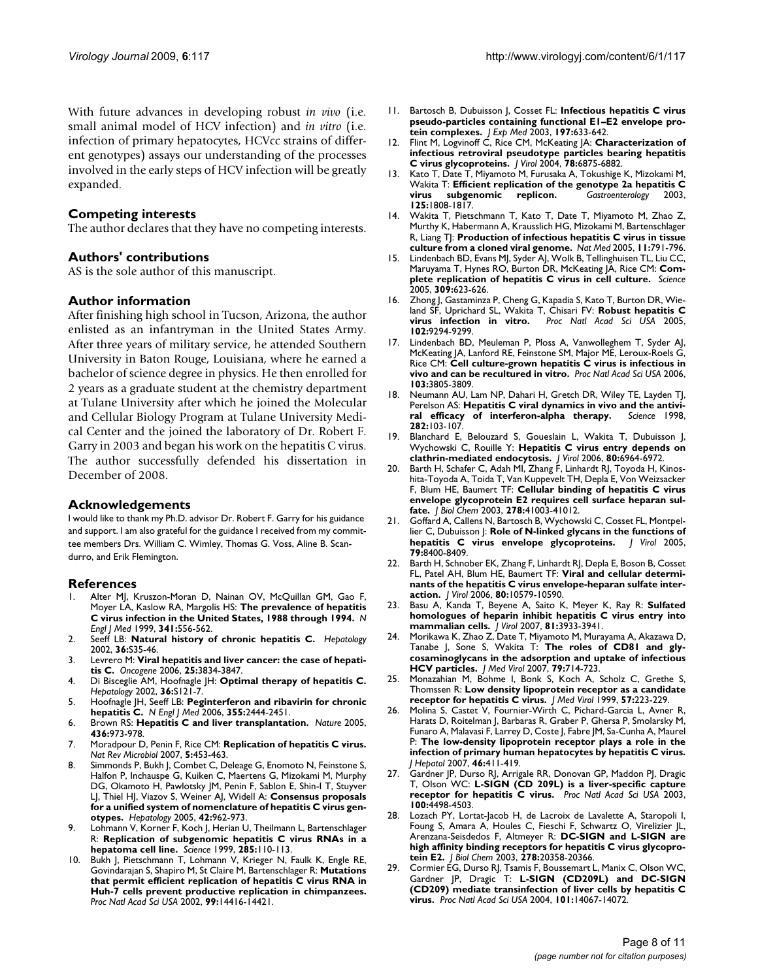With future advances in developing robust *in vivo* (i.e. small animal model of HCV infection) and *in vitro* (i.e. infection of primary hepatocytes, HCVcc strains of different genotypes) assays our understanding of the processes involved in the early steps of HCV infection will be greatly expanded.

#### **Competing interests**

The author declares that they have no competing interests.

### **Authors' contributions**

AS is the sole author of this manuscript.

### **Author information**

After finishing high school in Tucson, Arizona, the author enlisted as an infantryman in the United States Army. After three years of military service, he attended Southern University in Baton Rouge, Louisiana, where he earned a bachelor of science degree in physics. He then enrolled for 2 years as a graduate student at the chemistry department at Tulane University after which he joined the Molecular and Cellular Biology Program at Tulane University Medical Center and the joined the laboratory of Dr. Robert F. Garry in 2003 and began his work on the hepatitis C virus. The author successfully defended his dissertation in December of 2008.

### **Acknowledgements**

I would like to thank my Ph.D. advisor Dr. Robert F. Garry for his guidance and support. I am also grateful for the guidance I received from my committee members Drs. William C. Wimley, Thomas G. Voss, Aline B. Scandurro, and Erik Flemington.

#### **References**

- Alter MJ, Kruszon-Moran D, Nainan OV, McQuillan GM, Gao F, Moyer LA, Kaslow RA, Margolis HS: **[The prevalence of hepatitis](http://www.ncbi.nlm.nih.gov/entrez/query.fcgi?cmd=Retrieve&db=PubMed&dopt=Abstract&list_uids=10451460) [C virus infection in the United States, 1988 through 1994.](http://www.ncbi.nlm.nih.gov/entrez/query.fcgi?cmd=Retrieve&db=PubMed&dopt=Abstract&list_uids=10451460)** *N Engl J Med* 1999, **341:**556-562.
- 2. Seeff LB: **[Natural history of chronic hepatitis C.](http://www.ncbi.nlm.nih.gov/entrez/query.fcgi?cmd=Retrieve&db=PubMed&dopt=Abstract&list_uids=12407575)** *Hepatology* 2002, **36:**S35-46.
- 3. Levrero M: **[Viral hepatitis and liver cancer: the case of hepati](http://www.ncbi.nlm.nih.gov/entrez/query.fcgi?cmd=Retrieve&db=PubMed&dopt=Abstract&list_uids=16799625)[tis C.](http://www.ncbi.nlm.nih.gov/entrez/query.fcgi?cmd=Retrieve&db=PubMed&dopt=Abstract&list_uids=16799625)** *Oncogene* 2006, **25:**3834-3847.
- 4. Di Bisceglie AM, Hoofnagle JH: **[Optimal therapy of hepatitis C.](http://www.ncbi.nlm.nih.gov/entrez/query.fcgi?cmd=Retrieve&db=PubMed&dopt=Abstract&list_uids=12407585)** *Hepatology* 2002, **36:**S121-7.
- 5. Hoofnagle JH, Seeff LB: **[Peginterferon and ribavirin for chronic](http://www.ncbi.nlm.nih.gov/entrez/query.fcgi?cmd=Retrieve&db=PubMed&dopt=Abstract&list_uids=17151366) [hepatitis C.](http://www.ncbi.nlm.nih.gov/entrez/query.fcgi?cmd=Retrieve&db=PubMed&dopt=Abstract&list_uids=17151366)** *N Engl J Med* 2006, **355:**2444-2451.
- 6. Brown RS: **[Hepatitis C and liver transplantation.](http://www.ncbi.nlm.nih.gov/entrez/query.fcgi?cmd=Retrieve&db=PubMed&dopt=Abstract&list_uids=16107838)** *Nature* 2005, **436:**973-978.
- 7. Moradpour D, Penin F, Rice CM: **[Replication of hepatitis C virus.](http://www.ncbi.nlm.nih.gov/entrez/query.fcgi?cmd=Retrieve&db=PubMed&dopt=Abstract&list_uids=17487147)** *Nat Rev Microbiol* 2007, **5:**453-463.
- 8. Simmonds P, Bukh J, Combet C, Deleage G, Enomoto N, Feinstone S, Halfon P, Inchauspe G, Kuiken C, Maertens G, Mizokami M, Murphy DG, Okamoto H, Pawlotsky JM, Penin F, Sablon E, Shin-I T, Stuyver LJ, Thiel HJ, Viazov S, Weiner AJ, Widell A: **[Consensus proposals](http://www.ncbi.nlm.nih.gov/entrez/query.fcgi?cmd=Retrieve&db=PubMed&dopt=Abstract&list_uids=16149085) [for a unified system of nomenclature of hepatitis C virus gen](http://www.ncbi.nlm.nih.gov/entrez/query.fcgi?cmd=Retrieve&db=PubMed&dopt=Abstract&list_uids=16149085)[otypes.](http://www.ncbi.nlm.nih.gov/entrez/query.fcgi?cmd=Retrieve&db=PubMed&dopt=Abstract&list_uids=16149085)** *Hepatology* 2005, **42:**962-973.
- Lohmann V, Korner F, Koch J, Herian U, Theilmann L, Bartenschlager R: **[Replication of subgenomic hepatitis C virus RNAs in a](http://www.ncbi.nlm.nih.gov/entrez/query.fcgi?cmd=Retrieve&db=PubMed&dopt=Abstract&list_uids=10390360) [hepatoma cell line.](http://www.ncbi.nlm.nih.gov/entrez/query.fcgi?cmd=Retrieve&db=PubMed&dopt=Abstract&list_uids=10390360)** *Science* 1999, **285:**110-113.
- 10. Bukh J, Pietschmann T, Lohmann V, Krieger N, Faulk K, Engle RE, Govindarajan S, Shapiro M, St Claire M, Bartenschlager R: **[Mutations](http://www.ncbi.nlm.nih.gov/entrez/query.fcgi?cmd=Retrieve&db=PubMed&dopt=Abstract&list_uids=12391335) [that permit efficient replication of hepatitis C virus RNA in](http://www.ncbi.nlm.nih.gov/entrez/query.fcgi?cmd=Retrieve&db=PubMed&dopt=Abstract&list_uids=12391335) Huh-7 cells prevent productive replication in chimpanzees.** *Proc Natl Acad Sci USA* 2002, **99:**14416-14421.
- 11. Bartosch B, Dubuisson J, Cosset FL: **[Infectious hepatitis C virus](http://www.ncbi.nlm.nih.gov/entrez/query.fcgi?cmd=Retrieve&db=PubMed&dopt=Abstract&list_uids=12615904) [pseudo-particles containing functional E1–E2 envelope pro](http://www.ncbi.nlm.nih.gov/entrez/query.fcgi?cmd=Retrieve&db=PubMed&dopt=Abstract&list_uids=12615904)[tein complexes.](http://www.ncbi.nlm.nih.gov/entrez/query.fcgi?cmd=Retrieve&db=PubMed&dopt=Abstract&list_uids=12615904)** *J Exp Med* 2003, **197:**633-642.
- 12. Flint M, Logvinoff C, Rice CM, McKeating JA: **[Characterization of](http://www.ncbi.nlm.nih.gov/entrez/query.fcgi?cmd=Retrieve&db=PubMed&dopt=Abstract&list_uids=15194763) [infectious retroviral pseudotype particles bearing hepatitis](http://www.ncbi.nlm.nih.gov/entrez/query.fcgi?cmd=Retrieve&db=PubMed&dopt=Abstract&list_uids=15194763) [C virus glycoproteins.](http://www.ncbi.nlm.nih.gov/entrez/query.fcgi?cmd=Retrieve&db=PubMed&dopt=Abstract&list_uids=15194763)** *J Virol* 2004, **78:**6875-6882.
- 13. Kato T, Date T, Miyamoto M, Furusaka A, Tokushige K, Mizokami M, Wakita T: **[Efficient replication of the genotype 2a hepatitis C](http://www.ncbi.nlm.nih.gov/entrez/query.fcgi?cmd=Retrieve&db=PubMed&dopt=Abstract&list_uids=14724833)** virus subgenomic **125:**1808-1817.
- 14. Wakita T, Pietschmann T, Kato T, Date T, Miyamoto M, Zhao Z, Murthy K, Habermann A, Krausslich HG, Mizokami M, Bartenschlager R, Liang TJ: **[Production of infectious hepatitis C virus in tissue](http://www.ncbi.nlm.nih.gov/entrez/query.fcgi?cmd=Retrieve&db=PubMed&dopt=Abstract&list_uids=15951748) [culture from a cloned viral genome.](http://www.ncbi.nlm.nih.gov/entrez/query.fcgi?cmd=Retrieve&db=PubMed&dopt=Abstract&list_uids=15951748)** *Nat Med* 2005, **11:**791-796.
- 15. Lindenbach BD, Evans MJ, Syder AJ, Wolk B, Tellinghuisen TL, Liu CC, Maruyama T, Hynes RO, Burton DR, McKeating JA, Rice CM: **[Com](http://www.ncbi.nlm.nih.gov/entrez/query.fcgi?cmd=Retrieve&db=PubMed&dopt=Abstract&list_uids=15947137)[plete replication of hepatitis C virus in cell culture.](http://www.ncbi.nlm.nih.gov/entrez/query.fcgi?cmd=Retrieve&db=PubMed&dopt=Abstract&list_uids=15947137)** *Science* 2005, **309:**623-626.
- 16. Zhong J, Gastaminza P, Cheng G, Kapadia S, Kato T, Burton DR, Wieland SF, Uprichard SL, Wakita T, Chisari FV: **[Robust hepatitis C](http://www.ncbi.nlm.nih.gov/entrez/query.fcgi?cmd=Retrieve&db=PubMed&dopt=Abstract&list_uids=15939869) [virus infection in vitro.](http://www.ncbi.nlm.nih.gov/entrez/query.fcgi?cmd=Retrieve&db=PubMed&dopt=Abstract&list_uids=15939869)** *Proc Natl Acad Sci USA* 2005, **102:**9294-9299.
- 17. Lindenbach BD, Meuleman P, Ploss A, Vanwolleghem T, Syder AJ, McKeating JA, Lanford RE, Feinstone SM, Major ME, Leroux-Roels G, Rice CM: **[Cell culture-grown hepatitis C virus is infectious in](http://www.ncbi.nlm.nih.gov/entrez/query.fcgi?cmd=Retrieve&db=PubMed&dopt=Abstract&list_uids=16484368) [vivo and can be recultured in vitro.](http://www.ncbi.nlm.nih.gov/entrez/query.fcgi?cmd=Retrieve&db=PubMed&dopt=Abstract&list_uids=16484368)** *Proc Natl Acad Sci USA* 2006, **103:**3805-3809.
- 18. Neumann AU, Lam NP, Dahari H, Gretch DR, Wiley TE, Layden TJ, Perelson AS: **[Hepatitis C viral dynamics in vivo and the antivi](http://www.ncbi.nlm.nih.gov/entrez/query.fcgi?cmd=Retrieve&db=PubMed&dopt=Abstract&list_uids=9756471)[ral efficacy of interferon-alpha therapy.](http://www.ncbi.nlm.nih.gov/entrez/query.fcgi?cmd=Retrieve&db=PubMed&dopt=Abstract&list_uids=9756471)** *Science* 1998, **282:**103-107.
- 19. Blanchard E, Belouzard S, Goueslain L, Wakita T, Dubuisson J, Wychowski C, Rouille Y: **[Hepatitis C virus entry depends on](http://www.ncbi.nlm.nih.gov/entrez/query.fcgi?cmd=Retrieve&db=PubMed&dopt=Abstract&list_uids=16809302) [clathrin-mediated endocytosis.](http://www.ncbi.nlm.nih.gov/entrez/query.fcgi?cmd=Retrieve&db=PubMed&dopt=Abstract&list_uids=16809302)** *J Virol* 2006, **80:**6964-6972.
- 20. Barth H, Schafer C, Adah MI, Zhang F, Linhardt RJ, Toyoda H, Kinoshita-Toyoda A, Toida T, Van Kuppevelt TH, Depla E, Von Weizsacker F, Blum HE, Baumert TF: **[Cellular binding of hepatitis C virus](http://www.ncbi.nlm.nih.gov/entrez/query.fcgi?cmd=Retrieve&db=PubMed&dopt=Abstract&list_uids=12867431) [envelope glycoprotein E2 requires cell surface heparan sul](http://www.ncbi.nlm.nih.gov/entrez/query.fcgi?cmd=Retrieve&db=PubMed&dopt=Abstract&list_uids=12867431)[fate.](http://www.ncbi.nlm.nih.gov/entrez/query.fcgi?cmd=Retrieve&db=PubMed&dopt=Abstract&list_uids=12867431)** *J Biol Chem* 2003, **278:**41003-41012.
- 21. Goffard A, Callens N, Bartosch B, Wychowski C, Cosset FL, Montpellier C, Dubuisson J: **[Role of N-linked glycans in the functions of](http://www.ncbi.nlm.nih.gov/entrez/query.fcgi?cmd=Retrieve&db=PubMed&dopt=Abstract&list_uids=15956584) [hepatitis C virus envelope glycoproteins.](http://www.ncbi.nlm.nih.gov/entrez/query.fcgi?cmd=Retrieve&db=PubMed&dopt=Abstract&list_uids=15956584)** *J Virol* 2005, **79:**8400-8409.
- 22. Barth H, Schnober EK, Zhang F, Linhardt RJ, Depla E, Boson B, Cosset FL, Patel AH, Blum HE, Baumert TF: **[Viral and cellular determi](http://www.ncbi.nlm.nih.gov/entrez/query.fcgi?cmd=Retrieve&db=PubMed&dopt=Abstract&list_uids=16928753)[nants of the hepatitis C virus envelope-heparan sulfate inter](http://www.ncbi.nlm.nih.gov/entrez/query.fcgi?cmd=Retrieve&db=PubMed&dopt=Abstract&list_uids=16928753)[action.](http://www.ncbi.nlm.nih.gov/entrez/query.fcgi?cmd=Retrieve&db=PubMed&dopt=Abstract&list_uids=16928753)** *J Virol* 2006, **80:**10579-10590.
- 23. Basu A, Kanda T, Beyene A, Saito K, Meyer K, Ray R: **[Sulfated](http://www.ncbi.nlm.nih.gov/entrez/query.fcgi?cmd=Retrieve&db=PubMed&dopt=Abstract&list_uids=17287282) [homologues of heparin inhibit hepatitis C virus entry into](http://www.ncbi.nlm.nih.gov/entrez/query.fcgi?cmd=Retrieve&db=PubMed&dopt=Abstract&list_uids=17287282) [mammalian cells.](http://www.ncbi.nlm.nih.gov/entrez/query.fcgi?cmd=Retrieve&db=PubMed&dopt=Abstract&list_uids=17287282)** *J Virol* 2007, **81:**3933-3941.
- 24. Morikawa K, Zhao Z, Date T, Miyamoto M, Murayama A, Akazawa D, Tanabe J, Sone S, Wakita T: **[The roles of CD81 and gly](http://www.ncbi.nlm.nih.gov/entrez/query.fcgi?cmd=Retrieve&db=PubMed&dopt=Abstract&list_uids=17457918)[cosaminoglycans in the adsorption and uptake of infectious](http://www.ncbi.nlm.nih.gov/entrez/query.fcgi?cmd=Retrieve&db=PubMed&dopt=Abstract&list_uids=17457918) [HCV particles.](http://www.ncbi.nlm.nih.gov/entrez/query.fcgi?cmd=Retrieve&db=PubMed&dopt=Abstract&list_uids=17457918)** *J Med Virol* 2007, **79:**714-723.
- 25. Monazahian M, Bohme I, Bonk S, Koch A, Scholz C, Grethe S, Thomssen R: **[Low density lipoprotein receptor as a candidate](http://www.ncbi.nlm.nih.gov/entrez/query.fcgi?cmd=Retrieve&db=PubMed&dopt=Abstract&list_uids=10022791) [receptor for hepatitis C virus.](http://www.ncbi.nlm.nih.gov/entrez/query.fcgi?cmd=Retrieve&db=PubMed&dopt=Abstract&list_uids=10022791)** *J Med Virol* 1999, **57:**223-229.
- 26. Molina S, Castet V, Fournier-Wirth C, Pichard-Garcia L, Avner R, Harats D, Roitelman J, Barbaras R, Graber P, Ghersa P, Smolarsky M, Funaro A, Malavasi F, Larrey D, Coste J, Fabre JM, Sa-Cunha A, Maurel P: **[The low-density lipoprotein receptor plays a role in the](http://www.ncbi.nlm.nih.gov/entrez/query.fcgi?cmd=Retrieve&db=PubMed&dopt=Abstract&list_uids=17156886) [infection of primary human hepatocytes by hepatitis C virus.](http://www.ncbi.nlm.nih.gov/entrez/query.fcgi?cmd=Retrieve&db=PubMed&dopt=Abstract&list_uids=17156886)** *J Hepatol* 2007, **46:**411-419.
- 27. Gardner JP, Durso RJ, Arrigale RR, Donovan GP, Maddon PJ, Dragic T, Olson WC: **[L-SIGN \(CD 209L\) is a liver-specific capture](http://www.ncbi.nlm.nih.gov/entrez/query.fcgi?cmd=Retrieve&db=PubMed&dopt=Abstract&list_uids=12676990) [receptor for hepatitis C virus.](http://www.ncbi.nlm.nih.gov/entrez/query.fcgi?cmd=Retrieve&db=PubMed&dopt=Abstract&list_uids=12676990)** *Proc Natl Acad Sci USA* 2003, **100:**4498-4503.
- 28. Lozach PY, Lortat-Jacob H, de Lacroix de Lavalette A, Staropoli I, Foung S, Amara A, Houles C, Fieschi F, Schwartz O, Virelizier JL, Arenzana-Seisdedos F, Altmeyer R: **[DC-SIGN and L-SIGN are](http://www.ncbi.nlm.nih.gov/entrez/query.fcgi?cmd=Retrieve&db=PubMed&dopt=Abstract&list_uids=12609975) [high affinity binding receptors for hepatitis C virus glycopro](http://www.ncbi.nlm.nih.gov/entrez/query.fcgi?cmd=Retrieve&db=PubMed&dopt=Abstract&list_uids=12609975)[tein E2.](http://www.ncbi.nlm.nih.gov/entrez/query.fcgi?cmd=Retrieve&db=PubMed&dopt=Abstract&list_uids=12609975)** *J Biol Chem* 2003, **278:**20358-20366.
- 29. Cormier EG, Durso RJ, Tsamis F, Boussemart L, Manix C, Olson WC, Gardner JP, Dragic T: **[L-SIGN \(CD209L\) and DC-SIGN](http://www.ncbi.nlm.nih.gov/entrez/query.fcgi?cmd=Retrieve&db=PubMed&dopt=Abstract&list_uids=15371595) [\(CD209\) mediate transinfection of liver cells by hepatitis C](http://www.ncbi.nlm.nih.gov/entrez/query.fcgi?cmd=Retrieve&db=PubMed&dopt=Abstract&list_uids=15371595) [virus.](http://www.ncbi.nlm.nih.gov/entrez/query.fcgi?cmd=Retrieve&db=PubMed&dopt=Abstract&list_uids=15371595)** *Proc Natl Acad Sci USA* 2004, **101:**14067-14072.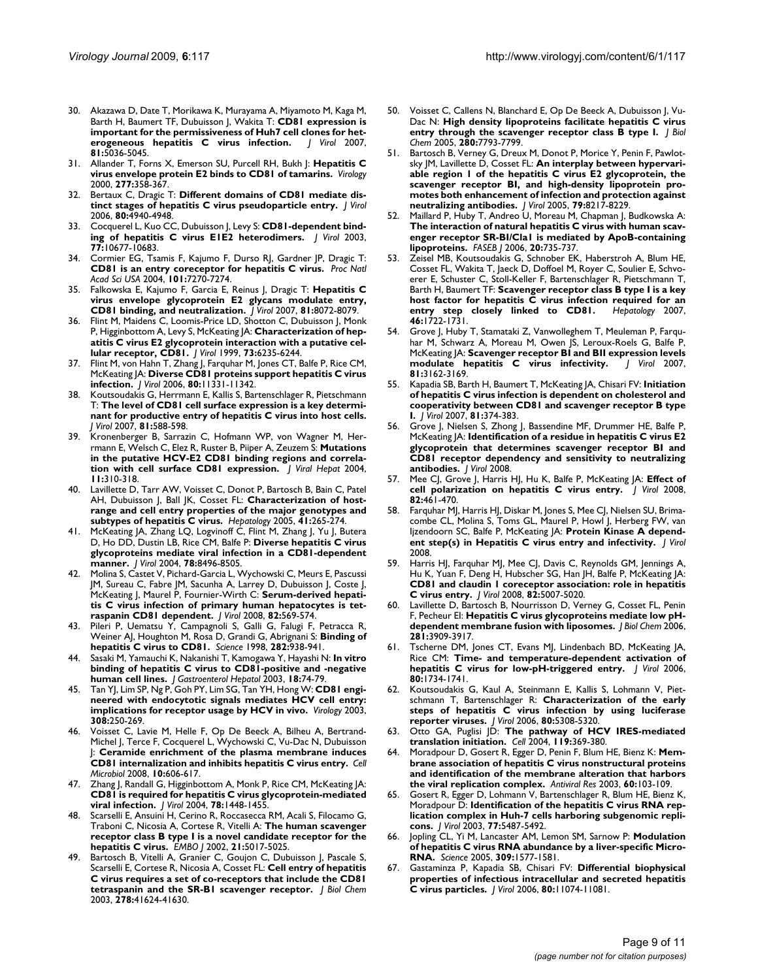- 30. Akazawa D, Date T, Morikawa K, Murayama A, Miyamoto M, Kaga M, Barth H, Baumert TF, Dubuisson J, Wakita T: **[CD81 expression is](http://www.ncbi.nlm.nih.gov/entrez/query.fcgi?cmd=Retrieve&db=PubMed&dopt=Abstract&list_uids=17329343) [important for the permissiveness of Huh7 cell clones for het](http://www.ncbi.nlm.nih.gov/entrez/query.fcgi?cmd=Retrieve&db=PubMed&dopt=Abstract&list_uids=17329343)[erogeneous hepatitis C virus infection.](http://www.ncbi.nlm.nih.gov/entrez/query.fcgi?cmd=Retrieve&db=PubMed&dopt=Abstract&list_uids=17329343)** *J Virol* 2007, **81:**5036-5045.
- 31. Allander T, Forns X, Emerson SU, Purcell RH, Bukh J: **[Hepatitis C](http://www.ncbi.nlm.nih.gov/entrez/query.fcgi?cmd=Retrieve&db=PubMed&dopt=Abstract&list_uids=11080483) [virus envelope protein E2 binds to CD81 of tamarins.](http://www.ncbi.nlm.nih.gov/entrez/query.fcgi?cmd=Retrieve&db=PubMed&dopt=Abstract&list_uids=11080483)** *Virology* 2000, **277:**358-367.
- 32. Bertaux C, Dragic T: **[Different domains of CD81 mediate dis](http://www.ncbi.nlm.nih.gov/entrez/query.fcgi?cmd=Retrieve&db=PubMed&dopt=Abstract&list_uids=16641285)[tinct stages of hepatitis C virus pseudoparticle entry.](http://www.ncbi.nlm.nih.gov/entrez/query.fcgi?cmd=Retrieve&db=PubMed&dopt=Abstract&list_uids=16641285)** *J Virol* 2006, **80:**4940-4948.
- 33. Cocquerel L, Kuo CC, Dubuisson J, Levy S: **[CD81-dependent bind](http://www.ncbi.nlm.nih.gov/entrez/query.fcgi?cmd=Retrieve&db=PubMed&dopt=Abstract&list_uids=12970454)[ing of hepatitis C virus E1E2 heterodimers.](http://www.ncbi.nlm.nih.gov/entrez/query.fcgi?cmd=Retrieve&db=PubMed&dopt=Abstract&list_uids=12970454)** *J Virol* 2003, **77:**10677-10683.
- 34. Cormier EG, Tsamis F, Kajumo F, Durso RJ, Gardner JP, Dragic T: **[CD81 is an entry coreceptor for hepatitis C virus.](http://www.ncbi.nlm.nih.gov/entrez/query.fcgi?cmd=Retrieve&db=PubMed&dopt=Abstract&list_uids=15123813)** *Proc Natl Acad Sci USA* 2004, **101:**7270-7274.
- 35. Falkowska E, Kajumo F, Garcia E, Reinus J, Dragic T: **[Hepatitis C](http://www.ncbi.nlm.nih.gov/entrez/query.fcgi?cmd=Retrieve&db=PubMed&dopt=Abstract&list_uids=17507469) [virus envelope glycoprotein E2 glycans modulate entry,](http://www.ncbi.nlm.nih.gov/entrez/query.fcgi?cmd=Retrieve&db=PubMed&dopt=Abstract&list_uids=17507469) [CD81 binding, and neutralization.](http://www.ncbi.nlm.nih.gov/entrez/query.fcgi?cmd=Retrieve&db=PubMed&dopt=Abstract&list_uids=17507469)** *J Virol* 2007, **81:**8072-8079.
- 36. Flint M, Maidens C, Loomis-Price LD, Shotton C, Dubuisson J, Monk P, Higginbottom A, Levy S, McKeating JA: **[Characterization of hep](http://www.ncbi.nlm.nih.gov/entrez/query.fcgi?cmd=Retrieve&db=PubMed&dopt=Abstract&list_uids=10400713)[atitis C virus E2 glycoprotein interaction with a putative cel](http://www.ncbi.nlm.nih.gov/entrez/query.fcgi?cmd=Retrieve&db=PubMed&dopt=Abstract&list_uids=10400713)[lular receptor, CD81.](http://www.ncbi.nlm.nih.gov/entrez/query.fcgi?cmd=Retrieve&db=PubMed&dopt=Abstract&list_uids=10400713)** *J Virol* 1999, **73:**6235-6244.
- 37. Flint M, von Hahn T, Zhang J, Farquhar M, Jones CT, Balfe P, Rice CM, McKeating JA: **[Diverse CD81 proteins support hepatitis C virus](http://www.ncbi.nlm.nih.gov/entrez/query.fcgi?cmd=Retrieve&db=PubMed&dopt=Abstract&list_uids=16943299) [infection.](http://www.ncbi.nlm.nih.gov/entrez/query.fcgi?cmd=Retrieve&db=PubMed&dopt=Abstract&list_uids=16943299)** *J Virol* 2006, **80:**11331-11342.
- 38. Koutsoudakis G, Herrmann E, Kallis S, Bartenschlager R, Pietschmann T: **[The level of CD81 cell surface expression is a key determi](http://www.ncbi.nlm.nih.gov/entrez/query.fcgi?cmd=Retrieve&db=PubMed&dopt=Abstract&list_uids=17079281)[nant for productive entry of hepatitis C virus into host cells.](http://www.ncbi.nlm.nih.gov/entrez/query.fcgi?cmd=Retrieve&db=PubMed&dopt=Abstract&list_uids=17079281)** *J Virol* 2007, **81:**588-598.
- 39. Kronenberger B, Sarrazin C, Hofmann WP, von Wagner M, Herrmann E, Welsch C, Elez R, Ruster B, Piiper A, Zeuzem S: **[Mutations](http://www.ncbi.nlm.nih.gov/entrez/query.fcgi?cmd=Retrieve&db=PubMed&dopt=Abstract&list_uids=15230853) [in the putative HCV-E2 CD81 binding regions and correla](http://www.ncbi.nlm.nih.gov/entrez/query.fcgi?cmd=Retrieve&db=PubMed&dopt=Abstract&list_uids=15230853)[tion with cell surface CD81 expression.](http://www.ncbi.nlm.nih.gov/entrez/query.fcgi?cmd=Retrieve&db=PubMed&dopt=Abstract&list_uids=15230853)** *J Viral Hepat* 2004, **11:**310-318.
- 40. Lavillette D, Tarr AW, Voisset C, Donot P, Bartosch B, Bain C, Patel AH, Dubuisson J, Ball JK, Cosset FL: **[Characterization of host](http://www.ncbi.nlm.nih.gov/entrez/query.fcgi?cmd=Retrieve&db=PubMed&dopt=Abstract&list_uids=15660396)[range and cell entry properties of the major genotypes and](http://www.ncbi.nlm.nih.gov/entrez/query.fcgi?cmd=Retrieve&db=PubMed&dopt=Abstract&list_uids=15660396) [subtypes of hepatitis C virus.](http://www.ncbi.nlm.nih.gov/entrez/query.fcgi?cmd=Retrieve&db=PubMed&dopt=Abstract&list_uids=15660396)** *Hepatology* 2005, **41:**265-274.
- 41. McKeating JA, Zhang LQ, Logvinoff C, Flint M, Zhang J, Yu J, Butera D, Ho DD, Dustin LB, Rice CM, Balfe P: **[Diverse hepatitis C virus](http://www.ncbi.nlm.nih.gov/entrez/query.fcgi?cmd=Retrieve&db=PubMed&dopt=Abstract&list_uids=15280458) [glycoproteins mediate viral infection in a CD81-dependent](http://www.ncbi.nlm.nih.gov/entrez/query.fcgi?cmd=Retrieve&db=PubMed&dopt=Abstract&list_uids=15280458) [manner.](http://www.ncbi.nlm.nih.gov/entrez/query.fcgi?cmd=Retrieve&db=PubMed&dopt=Abstract&list_uids=15280458)** *J Virol* 2004, **78:**8496-8505.
- 42. Molina S, Castet V, Pichard-Garcia L, Wychowski C, Meurs E, Pascussi JM, Sureau C, Fabre JM, Sacunha A, Larrey D, Dubuisson J, Coste J, McKeating J, Maurel P, Fournier-Wirth C: **[Serum-derived hepati](http://www.ncbi.nlm.nih.gov/entrez/query.fcgi?cmd=Retrieve&db=PubMed&dopt=Abstract&list_uids=17942559)[tis C virus infection of primary human hepatocytes is tet](http://www.ncbi.nlm.nih.gov/entrez/query.fcgi?cmd=Retrieve&db=PubMed&dopt=Abstract&list_uids=17942559)[raspanin CD81 dependent.](http://www.ncbi.nlm.nih.gov/entrez/query.fcgi?cmd=Retrieve&db=PubMed&dopt=Abstract&list_uids=17942559)** *J Virol* 2008, **82:**569-574.
- 43. Pileri P, Uematsu Y, Campagnoli S, Galli G, Falugi F, Petracca R, Weiner AJ, Houghton M, Rosa D, Grandi G, Abrignani S: **[Binding of](http://www.ncbi.nlm.nih.gov/entrez/query.fcgi?cmd=Retrieve&db=PubMed&dopt=Abstract&list_uids=9794763) [hepatitis C virus to CD81.](http://www.ncbi.nlm.nih.gov/entrez/query.fcgi?cmd=Retrieve&db=PubMed&dopt=Abstract&list_uids=9794763)** *Science* 1998, **282:**938-941.
- 44. Sasaki M, Yamauchi K, Nakanishi T, Kamogawa Y, Hayashi N: **[In vitro](http://www.ncbi.nlm.nih.gov/entrez/query.fcgi?cmd=Retrieve&db=PubMed&dopt=Abstract&list_uids=12519228) [binding of hepatitis C virus to CD81-positive and -negative](http://www.ncbi.nlm.nih.gov/entrez/query.fcgi?cmd=Retrieve&db=PubMed&dopt=Abstract&list_uids=12519228) [human cell lines.](http://www.ncbi.nlm.nih.gov/entrez/query.fcgi?cmd=Retrieve&db=PubMed&dopt=Abstract&list_uids=12519228)** *J Gastroenterol Hepatol* 2003, **18:**74-79.
- 45. Tan YJ, Lim SP, Ng P, Goh PY, Lim SG, Tan YH, Hong W: **[CD81 engi](http://www.ncbi.nlm.nih.gov/entrez/query.fcgi?cmd=Retrieve&db=PubMed&dopt=Abstract&list_uids=12706076)[neered with endocytotic signals mediates HCV cell entry:](http://www.ncbi.nlm.nih.gov/entrez/query.fcgi?cmd=Retrieve&db=PubMed&dopt=Abstract&list_uids=12706076) [implications for receptor usage by HCV in vivo.](http://www.ncbi.nlm.nih.gov/entrez/query.fcgi?cmd=Retrieve&db=PubMed&dopt=Abstract&list_uids=12706076)** *Virology* 2003, **308:**250-269.
- 46. Voisset C, Lavie M, Helle F, Op De Beeck A, Bilheu A, Bertrand-Michel J, Terce F, Cocquerel L, Wychowski C, Vu-Dac N, Dubuisson J: **[Ceramide enrichment of the plasma membrane induces](http://www.ncbi.nlm.nih.gov/entrez/query.fcgi?cmd=Retrieve&db=PubMed&dopt=Abstract&list_uids=17979982) [CD81 internalization and inhibits hepatitis C virus entry.](http://www.ncbi.nlm.nih.gov/entrez/query.fcgi?cmd=Retrieve&db=PubMed&dopt=Abstract&list_uids=17979982)** *Cell Microbiol* 2008, **10:**606-617.
- 47. Zhang J, Randall G, Higginbottom A, Monk P, Rice CM, McKeating JA: **[CD81 is required for hepatitis C virus glycoprotein-mediated](http://www.ncbi.nlm.nih.gov/entrez/query.fcgi?cmd=Retrieve&db=PubMed&dopt=Abstract&list_uids=14722300) [viral infection.](http://www.ncbi.nlm.nih.gov/entrez/query.fcgi?cmd=Retrieve&db=PubMed&dopt=Abstract&list_uids=14722300)** *J Virol* 2004, **78:**1448-1455.
- Scarselli E, Ansuini H, Cerino R, Roccasecca RM, Acali S, Filocamo G, Traboni C, Nicosia A, Cortese R, Vitelli A: **[The human scavenger](http://www.ncbi.nlm.nih.gov/entrez/query.fcgi?cmd=Retrieve&db=PubMed&dopt=Abstract&list_uids=12356718) [receptor class B type I is a novel candidate receptor for the](http://www.ncbi.nlm.nih.gov/entrez/query.fcgi?cmd=Retrieve&db=PubMed&dopt=Abstract&list_uids=12356718) [hepatitis C virus.](http://www.ncbi.nlm.nih.gov/entrez/query.fcgi?cmd=Retrieve&db=PubMed&dopt=Abstract&list_uids=12356718)** *EMBO J* 2002, **21:**5017-5025.
- 49. Bartosch B, Vitelli A, Granier C, Goujon C, Dubuisson J, Pascale S, Scarselli E, Cortese R, Nicosia A, Cosset FL: **[Cell entry of hepatitis](http://www.ncbi.nlm.nih.gov/entrez/query.fcgi?cmd=Retrieve&db=PubMed&dopt=Abstract&list_uids=12913001) [C virus requires a set of co-receptors that include the CD81](http://www.ncbi.nlm.nih.gov/entrez/query.fcgi?cmd=Retrieve&db=PubMed&dopt=Abstract&list_uids=12913001) [tetraspanin and the SR-B1 scavenger receptor.](http://www.ncbi.nlm.nih.gov/entrez/query.fcgi?cmd=Retrieve&db=PubMed&dopt=Abstract&list_uids=12913001)** *J Biol Chem* 2003, **278:**41624-41630.
- 50. Voisset C, Callens N, Blanchard E, Op De Beeck A, Dubuisson J, Vu-Dac N: **[High density lipoproteins facilitate hepatitis C virus](http://www.ncbi.nlm.nih.gov/entrez/query.fcgi?cmd=Retrieve&db=PubMed&dopt=Abstract&list_uids=15632171) [entry through the scavenger receptor class B type I.](http://www.ncbi.nlm.nih.gov/entrez/query.fcgi?cmd=Retrieve&db=PubMed&dopt=Abstract&list_uids=15632171)** *J Biol Chem* 2005, **280:**7793-7799.
- 51. Bartosch B, Verney G, Dreux M, Donot P, Morice Y, Penin F, Pawlotsky JM, Lavillette D, Cosset FL: **[An interplay between hypervari](http://www.ncbi.nlm.nih.gov/entrez/query.fcgi?cmd=Retrieve&db=PubMed&dopt=Abstract&list_uids=15956567)[able region 1 of the hepatitis C virus E2 glycoprotein, the](http://www.ncbi.nlm.nih.gov/entrez/query.fcgi?cmd=Retrieve&db=PubMed&dopt=Abstract&list_uids=15956567) scavenger receptor BI, and high-density lipoprotein promotes both enhancement of infection and protection against [neutralizing antibodies.](http://www.ncbi.nlm.nih.gov/entrez/query.fcgi?cmd=Retrieve&db=PubMed&dopt=Abstract&list_uids=15956567)** *J Virol* 2005, **79:**8217-8229.
- 52. Maillard P, Huby T, Andreo U, Moreau M, Chapman J, Budkowska A: **[The interaction of natural hepatitis C virus with human scav](http://www.ncbi.nlm.nih.gov/entrez/query.fcgi?cmd=Retrieve&db=PubMed&dopt=Abstract&list_uids=16476701)enger receptor SR-BI/Cla1 is mediated by ApoB-containing [lipoproteins.](http://www.ncbi.nlm.nih.gov/entrez/query.fcgi?cmd=Retrieve&db=PubMed&dopt=Abstract&list_uids=16476701)** *FASEB J* 2006, **20:**735-737.
- 53. Zeisel MB, Koutsoudakis G, Schnober EK, Haberstroh A, Blum HE, Cosset FL, Wakita T, Jaeck D, Doffoel M, Royer C, Soulier E, Schvoerer E, Schuster C, Stoll-Keller F, Bartenschlager R, Pietschmann T, Barth H, Baumert TF: **[Scavenger receptor class B type I is a key](http://www.ncbi.nlm.nih.gov/entrez/query.fcgi?cmd=Retrieve&db=PubMed&dopt=Abstract&list_uids=18000990) [host factor for hepatitis C virus infection required for an](http://www.ncbi.nlm.nih.gov/entrez/query.fcgi?cmd=Retrieve&db=PubMed&dopt=Abstract&list_uids=18000990) [entry step closely linked to CD81.](http://www.ncbi.nlm.nih.gov/entrez/query.fcgi?cmd=Retrieve&db=PubMed&dopt=Abstract&list_uids=18000990)** *Hepatology* 2007, **46:**1722-1731.
- 54. Grove J, Huby T, Stamataki Z, Vanwolleghem T, Meuleman P, Farquhar M, Schwarz A, Moreau M, Owen JS, Leroux-Roels G, Balfe P, McKeating JA: **[Scavenger receptor BI and BII expression levels](http://www.ncbi.nlm.nih.gov/entrez/query.fcgi?cmd=Retrieve&db=PubMed&dopt=Abstract&list_uids=17215280)**<br>modulate hepatitis **C** virus infectivity. J Virol 2007, [modulate hepatitis C virus infectivity.](http://www.ncbi.nlm.nih.gov/entrez/query.fcgi?cmd=Retrieve&db=PubMed&dopt=Abstract&list_uids=17215280) **81:**3162-3169.
- 55. Kapadia SB, Barth H, Baumert T, McKeating JA, Chisari FV: **[Initiation](http://www.ncbi.nlm.nih.gov/entrez/query.fcgi?cmd=Retrieve&db=PubMed&dopt=Abstract&list_uids=17050612) [of hepatitis C virus infection is dependent on cholesterol and](http://www.ncbi.nlm.nih.gov/entrez/query.fcgi?cmd=Retrieve&db=PubMed&dopt=Abstract&list_uids=17050612) cooperativity between CD81 and scavenger receptor B type [I.](http://www.ncbi.nlm.nih.gov/entrez/query.fcgi?cmd=Retrieve&db=PubMed&dopt=Abstract&list_uids=17050612)** *J Virol* 2007, **81:**374-383.
- Grove J, Nielsen S, Zhong J, Bassendine MF, Drummer HE, Balfe P, McKeating JA: **Identification of a residue in hepatitis C virus E2 glycoprotein that determines scavenger receptor BI and CD81 receptor dependency and sensitivity to neutralizing antibodies.** *J Virol* 2008.
- 57. Mee CJ, Grove J, Harris HJ, Hu K, Balfe P, McKeating JA: **[Effect of](http://www.ncbi.nlm.nih.gov/entrez/query.fcgi?cmd=Retrieve&db=PubMed&dopt=Abstract&list_uids=17959672) [cell polarization on hepatitis C virus entry.](http://www.ncbi.nlm.nih.gov/entrez/query.fcgi?cmd=Retrieve&db=PubMed&dopt=Abstract&list_uids=17959672)** *J Virol* 2008, **82:**461-470.
- 58. Farquhar MJ, Harris HJ, Diskar M, Jones S, Mee CJ, Nielsen SU, Brimacombe CL, Molina S, Toms GL, Maurel P, Howl J, Herberg FW, van Ijzendoorn SC, Balfe P, McKeating JA: **Protein Kinase A dependent step(s) in Hepatitis C virus entry and infectivity.** *J Virol* 2008.
- 59. Harris HJ, Farquhar MJ, Mee CJ, Davis C, Reynolds GM, Jennings A, Hu K, Yuan F, Deng H, Hubscher SG, Han JH, Balfe P, McKeating JA: **[CD81 and claudin 1 coreceptor association: role in hepatitis](http://www.ncbi.nlm.nih.gov/entrez/query.fcgi?cmd=Retrieve&db=PubMed&dopt=Abstract&list_uids=18337570) [C virus entry.](http://www.ncbi.nlm.nih.gov/entrez/query.fcgi?cmd=Retrieve&db=PubMed&dopt=Abstract&list_uids=18337570)** *J Virol* 2008, **82:**5007-5020.
- Lavillette D, Bartosch B, Nourrisson D, Verney G, Cosset FL, Penin F, Pecheur EI: **[Hepatitis C virus glycoproteins mediate low pH](http://www.ncbi.nlm.nih.gov/entrez/query.fcgi?cmd=Retrieve&db=PubMed&dopt=Abstract&list_uids=16356932)[dependent membrane fusion with liposomes.](http://www.ncbi.nlm.nih.gov/entrez/query.fcgi?cmd=Retrieve&db=PubMed&dopt=Abstract&list_uids=16356932)** *J Biol Chem* 2006, **281:**3909-3917.
- 61. Tscherne DM, Jones CT, Evans MJ, Lindenbach BD, McKeating JA, Rice CM: **[Time- and temperature-dependent activation of](http://www.ncbi.nlm.nih.gov/entrez/query.fcgi?cmd=Retrieve&db=PubMed&dopt=Abstract&list_uids=16439530) [hepatitis C virus for low-pH-triggered entry.](http://www.ncbi.nlm.nih.gov/entrez/query.fcgi?cmd=Retrieve&db=PubMed&dopt=Abstract&list_uids=16439530)** *J Virol* 2006, **80:**1734-1741.
- 62. Koutsoudakis G, Kaul A, Steinmann E, Kallis S, Lohmann V, Pietschmann T, Bartenschlager R: **[Characterization of the early](http://www.ncbi.nlm.nih.gov/entrez/query.fcgi?cmd=Retrieve&db=PubMed&dopt=Abstract&list_uids=16699011) [steps of hepatitis C virus infection by using luciferase](http://www.ncbi.nlm.nih.gov/entrez/query.fcgi?cmd=Retrieve&db=PubMed&dopt=Abstract&list_uids=16699011) [reporter viruses.](http://www.ncbi.nlm.nih.gov/entrez/query.fcgi?cmd=Retrieve&db=PubMed&dopt=Abstract&list_uids=16699011)** *J Virol* 2006, **80:**5308-5320.
- 63. Otto GA, Puglisi JD: **[The pathway of HCV IRES-mediated](http://www.ncbi.nlm.nih.gov/entrez/query.fcgi?cmd=Retrieve&db=PubMed&dopt=Abstract&list_uids=15507208) [translation initiation.](http://www.ncbi.nlm.nih.gov/entrez/query.fcgi?cmd=Retrieve&db=PubMed&dopt=Abstract&list_uids=15507208)** *Cell* 2004, **119:**369-380.
- 64. Moradpour D, Gosert R, Egger D, Penin F, Blum HE, Bienz K: **[Mem](http://www.ncbi.nlm.nih.gov/entrez/query.fcgi?cmd=Retrieve&db=PubMed&dopt=Abstract&list_uids=14638405)[brane association of hepatitis C virus nonstructural proteins](http://www.ncbi.nlm.nih.gov/entrez/query.fcgi?cmd=Retrieve&db=PubMed&dopt=Abstract&list_uids=14638405) and identification of the membrane alteration that harbors [the viral replication complex.](http://www.ncbi.nlm.nih.gov/entrez/query.fcgi?cmd=Retrieve&db=PubMed&dopt=Abstract&list_uids=14638405)** *Antiviral Res* 2003, **60:**103-109.
- 65. Gosert R, Egger D, Lohmann V, Bartenschlager R, Blum HE, Bienz K, Moradpour D: **[Identification of the hepatitis C virus RNA rep](http://www.ncbi.nlm.nih.gov/entrez/query.fcgi?cmd=Retrieve&db=PubMed&dopt=Abstract&list_uids=12692249)[lication complex in Huh-7 cells harboring subgenomic repli](http://www.ncbi.nlm.nih.gov/entrez/query.fcgi?cmd=Retrieve&db=PubMed&dopt=Abstract&list_uids=12692249)[cons.](http://www.ncbi.nlm.nih.gov/entrez/query.fcgi?cmd=Retrieve&db=PubMed&dopt=Abstract&list_uids=12692249)** *J Virol* 2003, **77:**5487-5492.
- 66. Jopling CL, Yi M, Lancaster AM, Lemon SM, Sarnow P: **[Modulation](http://www.ncbi.nlm.nih.gov/entrez/query.fcgi?cmd=Retrieve&db=PubMed&dopt=Abstract&list_uids=16141076) [of hepatitis C virus RNA abundance by a liver-specific Micro-](http://www.ncbi.nlm.nih.gov/entrez/query.fcgi?cmd=Retrieve&db=PubMed&dopt=Abstract&list_uids=16141076)[RNA.](http://www.ncbi.nlm.nih.gov/entrez/query.fcgi?cmd=Retrieve&db=PubMed&dopt=Abstract&list_uids=16141076)** *Science* 2005, **309:**1577-1581.
- 67. Gastaminza P, Kapadia SB, Chisari FV: **[Differential biophysical](http://www.ncbi.nlm.nih.gov/entrez/query.fcgi?cmd=Retrieve&db=PubMed&dopt=Abstract&list_uids=16956946) [properties of infectious intracellular and secreted hepatitis](http://www.ncbi.nlm.nih.gov/entrez/query.fcgi?cmd=Retrieve&db=PubMed&dopt=Abstract&list_uids=16956946) [C virus particles.](http://www.ncbi.nlm.nih.gov/entrez/query.fcgi?cmd=Retrieve&db=PubMed&dopt=Abstract&list_uids=16956946)** *J Virol* 2006, **80:**11074-11081.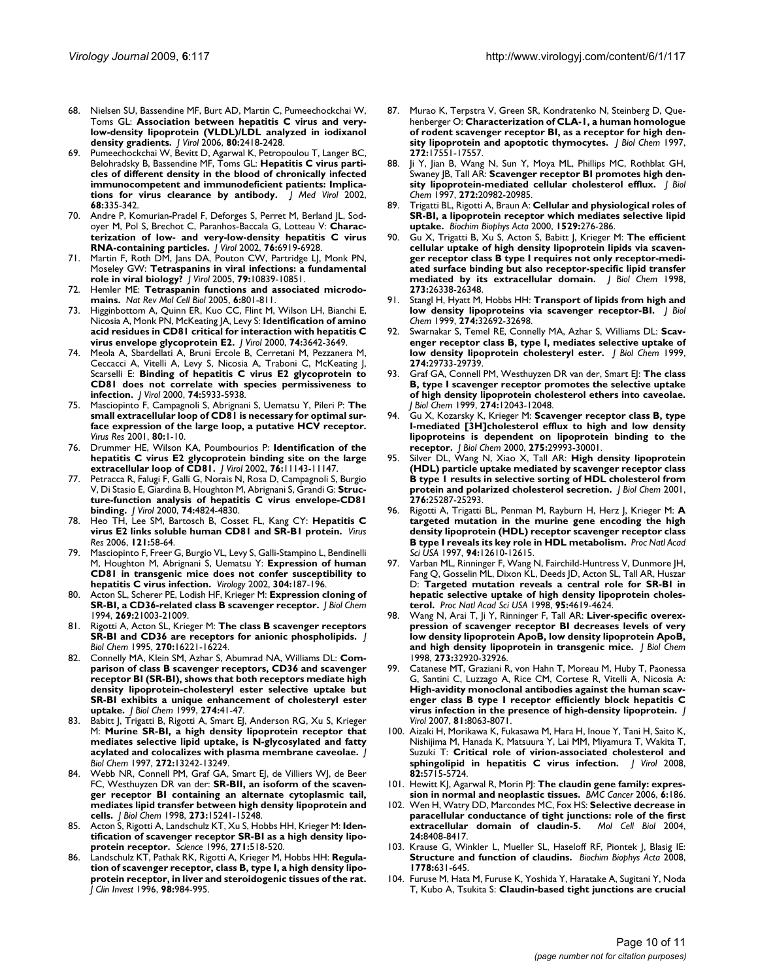- 68. Nielsen SU, Bassendine MF, Burt AD, Martin C, Pumeechockchai W, Toms GL: **[Association between hepatitis C virus and very](http://www.ncbi.nlm.nih.gov/entrez/query.fcgi?cmd=Retrieve&db=PubMed&dopt=Abstract&list_uids=16474148)[low-density lipoprotein \(VLDL\)/LDL analyzed in iodixanol](http://www.ncbi.nlm.nih.gov/entrez/query.fcgi?cmd=Retrieve&db=PubMed&dopt=Abstract&list_uids=16474148) [density gradients.](http://www.ncbi.nlm.nih.gov/entrez/query.fcgi?cmd=Retrieve&db=PubMed&dopt=Abstract&list_uids=16474148)** *J Virol* 2006, **80:**2418-2428.
- 69. Pumeechockchai W, Bevitt D, Agarwal K, Petropoulou T, Langer BC, Belohradsky B, Bassendine MF, Toms GL: **[Hepatitis C virus parti](http://www.ncbi.nlm.nih.gov/entrez/query.fcgi?cmd=Retrieve&db=PubMed&dopt=Abstract&list_uids=12226819)[cles of different density in the blood of chronically infected](http://www.ncbi.nlm.nih.gov/entrez/query.fcgi?cmd=Retrieve&db=PubMed&dopt=Abstract&list_uids=12226819) immunocompetent and immunodeficient patients: Implica[tions for virus clearance by antibody.](http://www.ncbi.nlm.nih.gov/entrez/query.fcgi?cmd=Retrieve&db=PubMed&dopt=Abstract&list_uids=12226819)** *J Med Virol* 2002, **68:**335-342.
- 70. Andre P, Komurian-Pradel F, Deforges S, Perret M, Berland JL, Sodoyer M, Pol S, Brechot C, Paranhos-Baccala G, Lotteau V: **[Charac](http://www.ncbi.nlm.nih.gov/entrez/query.fcgi?cmd=Retrieve&db=PubMed&dopt=Abstract&list_uids=12072493)[terization of low- and very-low-density hepatitis C virus](http://www.ncbi.nlm.nih.gov/entrez/query.fcgi?cmd=Retrieve&db=PubMed&dopt=Abstract&list_uids=12072493) [RNA-containing particles.](http://www.ncbi.nlm.nih.gov/entrez/query.fcgi?cmd=Retrieve&db=PubMed&dopt=Abstract&list_uids=12072493)** *J Virol* 2002, **76:**6919-6928.
- 71. Martin F, Roth DM, Jans DA, Pouton CW, Partridge LJ, Monk PN, Moseley GW: **[Tetraspanins in viral infections: a fundamental](http://www.ncbi.nlm.nih.gov/entrez/query.fcgi?cmd=Retrieve&db=PubMed&dopt=Abstract&list_uids=16103137) [role in viral biology?](http://www.ncbi.nlm.nih.gov/entrez/query.fcgi?cmd=Retrieve&db=PubMed&dopt=Abstract&list_uids=16103137)** *J Virol* 2005, **79:**10839-10851.
- 72. Hemler ME: **[Tetraspanin functions and associated microdo](http://www.ncbi.nlm.nih.gov/entrez/query.fcgi?cmd=Retrieve&db=PubMed&dopt=Abstract&list_uids=16314869)[mains.](http://www.ncbi.nlm.nih.gov/entrez/query.fcgi?cmd=Retrieve&db=PubMed&dopt=Abstract&list_uids=16314869)** *Nat Rev Mol Cell Biol* 2005, **6:**801-811.
- 73. Higginbottom A, Quinn ER, Kuo CC, Flint M, Wilson LH, Bianchi E, Nicosia A, Monk PN, McKeating JA, Levy S: **[Identification of amino](http://www.ncbi.nlm.nih.gov/entrez/query.fcgi?cmd=Retrieve&db=PubMed&dopt=Abstract&list_uids=10729140) [acid residues in CD81 critical for interaction with hepatitis C](http://www.ncbi.nlm.nih.gov/entrez/query.fcgi?cmd=Retrieve&db=PubMed&dopt=Abstract&list_uids=10729140) [virus envelope glycoprotein E2.](http://www.ncbi.nlm.nih.gov/entrez/query.fcgi?cmd=Retrieve&db=PubMed&dopt=Abstract&list_uids=10729140)** *J Virol* 2000, **74:**3642-3649.
- 74. Meola A, Sbardellati A, Bruni Ercole B, Cerretani M, Pezzanera M, Ceccacci A, Vitelli A, Levy S, Nicosia A, Traboni C, McKeating J, Scarselli E: **[Binding of hepatitis C virus E2 glycoprotein to](http://www.ncbi.nlm.nih.gov/entrez/query.fcgi?cmd=Retrieve&db=PubMed&dopt=Abstract&list_uids=10846074) [CD81 does not correlate with species permissiveness to](http://www.ncbi.nlm.nih.gov/entrez/query.fcgi?cmd=Retrieve&db=PubMed&dopt=Abstract&list_uids=10846074) [infection.](http://www.ncbi.nlm.nih.gov/entrez/query.fcgi?cmd=Retrieve&db=PubMed&dopt=Abstract&list_uids=10846074)** *J Virol* 2000, **74:**5933-5938.
- 75. Masciopinto F, Campagnoli S, Abrignani S, Uematsu Y, Pileri P: **[The](http://www.ncbi.nlm.nih.gov/entrez/query.fcgi?cmd=Retrieve&db=PubMed&dopt=Abstract&list_uids=11597743) [small extracellular loop of CD81 is necessary for optimal sur](http://www.ncbi.nlm.nih.gov/entrez/query.fcgi?cmd=Retrieve&db=PubMed&dopt=Abstract&list_uids=11597743)face expression of the large loop, a putative HCV receptor.** *Virus Res* 2001, **80:**1-10.
- 76. Drummer HE, Wilson KA, Poumbourios P: **[Identification of the](http://www.ncbi.nlm.nih.gov/entrez/query.fcgi?cmd=Retrieve&db=PubMed&dopt=Abstract&list_uids=12368358) [hepatitis C virus E2 glycoprotein binding site on the large](http://www.ncbi.nlm.nih.gov/entrez/query.fcgi?cmd=Retrieve&db=PubMed&dopt=Abstract&list_uids=12368358) [extracellular loop of CD81.](http://www.ncbi.nlm.nih.gov/entrez/query.fcgi?cmd=Retrieve&db=PubMed&dopt=Abstract&list_uids=12368358)** *J Virol* 2002, **76:**11143-11147.
- 77. Petracca R, Falugi F, Galli G, Norais N, Rosa D, Campagnoli S, Burgio V, Di Stasio E, Giardina B, Houghton M, Abrignani S, Grandi G: **[Struc](http://www.ncbi.nlm.nih.gov/entrez/query.fcgi?cmd=Retrieve&db=PubMed&dopt=Abstract&list_uids=10775621)[ture-function analysis of hepatitis C virus envelope-CD81](http://www.ncbi.nlm.nih.gov/entrez/query.fcgi?cmd=Retrieve&db=PubMed&dopt=Abstract&list_uids=10775621) [binding.](http://www.ncbi.nlm.nih.gov/entrez/query.fcgi?cmd=Retrieve&db=PubMed&dopt=Abstract&list_uids=10775621)** *J Virol* 2000, **74:**4824-4830.
- 78. Heo TH, Lee SM, Bartosch B, Cosset FL, Kang CY: **[Hepatitis C](http://www.ncbi.nlm.nih.gov/entrez/query.fcgi?cmd=Retrieve&db=PubMed&dopt=Abstract&list_uids=16725222) [virus E2 links soluble human CD81 and SR-B1 protein.](http://www.ncbi.nlm.nih.gov/entrez/query.fcgi?cmd=Retrieve&db=PubMed&dopt=Abstract&list_uids=16725222)** *Virus Res* 2006, **121:**58-64.
- 79. Masciopinto F, Freer G, Burgio VL, Levy S, Galli-Stampino L, Bendinelli M, Houghton M, Abrignani S, Uematsu Y: **[Expression of human](http://www.ncbi.nlm.nih.gov/entrez/query.fcgi?cmd=Retrieve&db=PubMed&dopt=Abstract&list_uids=12504561) [CD81 in transgenic mice does not confer susceptibility to](http://www.ncbi.nlm.nih.gov/entrez/query.fcgi?cmd=Retrieve&db=PubMed&dopt=Abstract&list_uids=12504561) [hepatitis C virus infection.](http://www.ncbi.nlm.nih.gov/entrez/query.fcgi?cmd=Retrieve&db=PubMed&dopt=Abstract&list_uids=12504561)** *Virology* 2002, **304:**187-196.
- 80. Acton SL, Scherer PE, Lodish HF, Krieger M: **[Expression cloning of](http://www.ncbi.nlm.nih.gov/entrez/query.fcgi?cmd=Retrieve&db=PubMed&dopt=Abstract&list_uids=7520436) [SR-BI, a CD36-related class B scavenger receptor.](http://www.ncbi.nlm.nih.gov/entrez/query.fcgi?cmd=Retrieve&db=PubMed&dopt=Abstract&list_uids=7520436)** *J Biol Chem* 1994, **269:**21003-21009.
- 81. Rigotti A, Acton SL, Krieger M: **[The class B scavenger receptors](http://www.ncbi.nlm.nih.gov/entrez/query.fcgi?cmd=Retrieve&db=PubMed&dopt=Abstract&list_uids=7541795) [SR-BI and CD36 are receptors for anionic phospholipids.](http://www.ncbi.nlm.nih.gov/entrez/query.fcgi?cmd=Retrieve&db=PubMed&dopt=Abstract&list_uids=7541795)** *J Biol Chem* 1995, **270:**16221-16224.
- 82. Connelly MA, Klein SM, Azhar S, Abumrad NA, Williams DL: **[Com](http://www.ncbi.nlm.nih.gov/entrez/query.fcgi?cmd=Retrieve&db=PubMed&dopt=Abstract&list_uids=9867808)[parison of class B scavenger receptors, CD36 and scavenger](http://www.ncbi.nlm.nih.gov/entrez/query.fcgi?cmd=Retrieve&db=PubMed&dopt=Abstract&list_uids=9867808) receptor BI (SR-BI), shows that both receptors mediate high density lipoprotein-cholesteryl ester selective uptake but SR-BI exhibits a unique enhancement of cholesteryl ester [uptake.](http://www.ncbi.nlm.nih.gov/entrez/query.fcgi?cmd=Retrieve&db=PubMed&dopt=Abstract&list_uids=9867808)** *J Biol Chem* 1999, **274:**41-47.
- 83. Babitt J, Trigatti B, Rigotti A, Smart EJ, Anderson RG, Xu S, Krieger M: **[Murine SR-BI, a high density lipoprotein receptor that](http://www.ncbi.nlm.nih.gov/entrez/query.fcgi?cmd=Retrieve&db=PubMed&dopt=Abstract&list_uids=9148942) [mediates selective lipid uptake, is N-glycosylated and fatty](http://www.ncbi.nlm.nih.gov/entrez/query.fcgi?cmd=Retrieve&db=PubMed&dopt=Abstract&list_uids=9148942) [acylated and colocalizes with plasma membrane caveolae.](http://www.ncbi.nlm.nih.gov/entrez/query.fcgi?cmd=Retrieve&db=PubMed&dopt=Abstract&list_uids=9148942)** *J Biol Chem* 1997, **272:**13242-13249.
- 84. Webb NR, Connell PM, Graf GA, Smart EJ, de Villiers WJ, de Beer FC, Westhuyzen DR van der: **[SR-BII, an isoform of the scaven](http://www.ncbi.nlm.nih.gov/entrez/query.fcgi?cmd=Retrieve&db=PubMed&dopt=Abstract&list_uids=9614139)[ger receptor BI containing an alternate cytoplasmic tail,](http://www.ncbi.nlm.nih.gov/entrez/query.fcgi?cmd=Retrieve&db=PubMed&dopt=Abstract&list_uids=9614139) mediates lipid transfer between high density lipoprotein and [cells.](http://www.ncbi.nlm.nih.gov/entrez/query.fcgi?cmd=Retrieve&db=PubMed&dopt=Abstract&list_uids=9614139)** *J Biol Chem* 1998, **273:**15241-15248.
- 85. Acton S, Rigotti A, Landschulz KT, Xu S, Hobbs HH, Krieger M: **[Iden](http://www.ncbi.nlm.nih.gov/entrez/query.fcgi?cmd=Retrieve&db=PubMed&dopt=Abstract&list_uids=8560269)[tification of scavenger receptor SR-BI as a high density lipo](http://www.ncbi.nlm.nih.gov/entrez/query.fcgi?cmd=Retrieve&db=PubMed&dopt=Abstract&list_uids=8560269)[protein receptor.](http://www.ncbi.nlm.nih.gov/entrez/query.fcgi?cmd=Retrieve&db=PubMed&dopt=Abstract&list_uids=8560269)** *Science* 1996, **271:**518-520.
- 86. Landschulz KT, Pathak RK, Rigotti A, Krieger M, Hobbs HH: **[Regula](http://www.ncbi.nlm.nih.gov/entrez/query.fcgi?cmd=Retrieve&db=PubMed&dopt=Abstract&list_uids=8770871)[tion of scavenger receptor, class B, type I, a high density lipo](http://www.ncbi.nlm.nih.gov/entrez/query.fcgi?cmd=Retrieve&db=PubMed&dopt=Abstract&list_uids=8770871)protein receptor, in liver and steroidogenic tissues of the rat.** *J Clin Invest* 1996, **98:**984-995.
- 87. Murao K, Terpstra V, Green SR, Kondratenko N, Steinberg D, Quehenberger O: **[Characterization of CLA-1, a human homologue](http://www.ncbi.nlm.nih.gov/entrez/query.fcgi?cmd=Retrieve&db=PubMed&dopt=Abstract&list_uids=9211901) [of rodent scavenger receptor BI, as a receptor for high den](http://www.ncbi.nlm.nih.gov/entrez/query.fcgi?cmd=Retrieve&db=PubMed&dopt=Abstract&list_uids=9211901)[sity lipoprotein and apoptotic thymocytes.](http://www.ncbi.nlm.nih.gov/entrez/query.fcgi?cmd=Retrieve&db=PubMed&dopt=Abstract&list_uids=9211901)** *J Biol Chem* 1997, **272:**17551-17557.
- 88. Ji Y, Jian B, Wang N, Sun Y, Moya ML, Phillips MC, Rothblat GH, Swaney JB, Tall AR: **[Scavenger receptor BI promotes high den](http://www.ncbi.nlm.nih.gov/entrez/query.fcgi?cmd=Retrieve&db=PubMed&dopt=Abstract&list_uids=9261096)[sity lipoprotein-mediated cellular cholesterol efflux.](http://www.ncbi.nlm.nih.gov/entrez/query.fcgi?cmd=Retrieve&db=PubMed&dopt=Abstract&list_uids=9261096)** *J Biol Chem* 1997, **272:**20982-20985.
- 89. Trigatti BL, Rigotti A, Braun A: **[Cellular and physiological roles of](http://www.ncbi.nlm.nih.gov/entrez/query.fcgi?cmd=Retrieve&db=PubMed&dopt=Abstract&list_uids=11111095) [SR-BI, a lipoprotein receptor which mediates selective lipid](http://www.ncbi.nlm.nih.gov/entrez/query.fcgi?cmd=Retrieve&db=PubMed&dopt=Abstract&list_uids=11111095) [uptake.](http://www.ncbi.nlm.nih.gov/entrez/query.fcgi?cmd=Retrieve&db=PubMed&dopt=Abstract&list_uids=11111095)** *Biochim Biophys Acta* 2000, **1529:**276-286.
- 90. Gu X, Trigatti B, Xu S, Acton S, Babitt J, Krieger M: **[The efficient](http://www.ncbi.nlm.nih.gov/entrez/query.fcgi?cmd=Retrieve&db=PubMed&dopt=Abstract&list_uids=9756864) [cellular uptake of high density lipoprotein lipids via scaven](http://www.ncbi.nlm.nih.gov/entrez/query.fcgi?cmd=Retrieve&db=PubMed&dopt=Abstract&list_uids=9756864)ger receptor class B type I requires not only receptor-mediated surface binding but also receptor-specific lipid transfer [mediated by its extracellular domain.](http://www.ncbi.nlm.nih.gov/entrez/query.fcgi?cmd=Retrieve&db=PubMed&dopt=Abstract&list_uids=9756864)** *J Biol Chem* 1998, **273:**26338-26348.
- 91. Stangl H, Hyatt M, Hobbs HH: **[Transport of lipids from high and](http://www.ncbi.nlm.nih.gov/entrez/query.fcgi?cmd=Retrieve&db=PubMed&dopt=Abstract&list_uids=10551825) [low density lipoproteins via scavenger receptor-BI.](http://www.ncbi.nlm.nih.gov/entrez/query.fcgi?cmd=Retrieve&db=PubMed&dopt=Abstract&list_uids=10551825)** *J Biol Chem* 1999, **274:**32692-32698.
- 92. Swarnakar S, Temel RE, Connelly MA, Azhar S, Williams DL: **[Scav](http://www.ncbi.nlm.nih.gov/entrez/query.fcgi?cmd=Retrieve&db=PubMed&dopt=Abstract&list_uids=10514447)[enger receptor class B, type I, mediates selective uptake of](http://www.ncbi.nlm.nih.gov/entrez/query.fcgi?cmd=Retrieve&db=PubMed&dopt=Abstract&list_uids=10514447) [low density lipoprotein cholesteryl ester.](http://www.ncbi.nlm.nih.gov/entrez/query.fcgi?cmd=Retrieve&db=PubMed&dopt=Abstract&list_uids=10514447)** *J Biol Chem* 1999, **274:**29733-29739.
- 93. Graf GA, Connell PM, Westhuyzen DR van der, Smart EJ: **[The class](http://www.ncbi.nlm.nih.gov/entrez/query.fcgi?cmd=Retrieve&db=PubMed&dopt=Abstract&list_uids=10207027) B, type I scavenger receptor promotes the selective uptake [of high density lipoprotein cholesterol ethers into caveolae.](http://www.ncbi.nlm.nih.gov/entrez/query.fcgi?cmd=Retrieve&db=PubMed&dopt=Abstract&list_uids=10207027)** *J Biol Chem* 1999, **274:**12043-12048.
- 94. Gu X, Kozarsky K, Krieger M: **[Scavenger receptor class B, type](http://www.ncbi.nlm.nih.gov/entrez/query.fcgi?cmd=Retrieve&db=PubMed&dopt=Abstract&list_uids=11001950) [I-mediated \[3H\]cholesterol efflux to high and low density](http://www.ncbi.nlm.nih.gov/entrez/query.fcgi?cmd=Retrieve&db=PubMed&dopt=Abstract&list_uids=11001950) lipoproteins is dependent on lipoprotein binding to the [receptor.](http://www.ncbi.nlm.nih.gov/entrez/query.fcgi?cmd=Retrieve&db=PubMed&dopt=Abstract&list_uids=11001950)** *J Biol Chem* 2000, **275:**29993-30001.
- 95. Silver DL, Wang N, Xiao X, Tall AR: **[High density lipoprotein](http://www.ncbi.nlm.nih.gov/entrez/query.fcgi?cmd=Retrieve&db=PubMed&dopt=Abstract&list_uids=11301333) [\(HDL\) particle uptake mediated by scavenger receptor class](http://www.ncbi.nlm.nih.gov/entrez/query.fcgi?cmd=Retrieve&db=PubMed&dopt=Abstract&list_uids=11301333) B type 1 results in selective sorting of HDL cholesterol from [protein and polarized cholesterol secretion.](http://www.ncbi.nlm.nih.gov/entrez/query.fcgi?cmd=Retrieve&db=PubMed&dopt=Abstract&list_uids=11301333)** *J Biol Chem* 2001, **276:**25287-25293.
- 96. Rigotti A, Trigatti BL, Penman M, Rayburn H, Herz J, Krieger M: **[A](http://www.ncbi.nlm.nih.gov/entrez/query.fcgi?cmd=Retrieve&db=PubMed&dopt=Abstract&list_uids=9356497) [targeted mutation in the murine gene encoding the high](http://www.ncbi.nlm.nih.gov/entrez/query.fcgi?cmd=Retrieve&db=PubMed&dopt=Abstract&list_uids=9356497) density lipoprotein (HDL) receptor scavenger receptor class [B type I reveals its key role in HDL metabolism.](http://www.ncbi.nlm.nih.gov/entrez/query.fcgi?cmd=Retrieve&db=PubMed&dopt=Abstract&list_uids=9356497)** *Proc Natl Acad Sci USA* 1997, **94:**12610-12615.
- 97. Varban ML, Rinninger F, Wang N, Fairchild-Huntress V, Dunmore JH, Fang Q, Gosselin ML, Dixon KL, Deeds JD, Acton SL, Tall AR, Huszar D: **[Targeted mutation reveals a central role for SR-BI in](http://www.ncbi.nlm.nih.gov/entrez/query.fcgi?cmd=Retrieve&db=PubMed&dopt=Abstract&list_uids=9539787) [hepatic selective uptake of high density lipoprotein choles](http://www.ncbi.nlm.nih.gov/entrez/query.fcgi?cmd=Retrieve&db=PubMed&dopt=Abstract&list_uids=9539787)[terol.](http://www.ncbi.nlm.nih.gov/entrez/query.fcgi?cmd=Retrieve&db=PubMed&dopt=Abstract&list_uids=9539787)** *Proc Natl Acad Sci USA* 1998, **95:**4619-4624.
- Wang N, Arai T, Ji Y, Rinninger F, Tall AR: [Liver-specific overex](http://www.ncbi.nlm.nih.gov/entrez/query.fcgi?cmd=Retrieve&db=PubMed&dopt=Abstract&list_uids=9830042)**[pression of scavenger receptor BI decreases levels of very](http://www.ncbi.nlm.nih.gov/entrez/query.fcgi?cmd=Retrieve&db=PubMed&dopt=Abstract&list_uids=9830042) low density lipoprotein ApoB, low density lipoprotein ApoB, [and high density lipoprotein in transgenic mice.](http://www.ncbi.nlm.nih.gov/entrez/query.fcgi?cmd=Retrieve&db=PubMed&dopt=Abstract&list_uids=9830042)** *J Biol Chem* 1998, **273:**32920-32926.
- Catanese MT, Graziani R, von Hahn T, Moreau M, Huby T, Paonessa G, Santini C, Luzzago A, Rice CM, Cortese R, Vitelli A, Nicosia A: **[High-avidity monoclonal antibodies against the human scav](http://www.ncbi.nlm.nih.gov/entrez/query.fcgi?cmd=Retrieve&db=PubMed&dopt=Abstract&list_uids=17507483)enger class B type I receptor efficiently block hepatitis C [virus infection in the presence of high-density lipoprotein.](http://www.ncbi.nlm.nih.gov/entrez/query.fcgi?cmd=Retrieve&db=PubMed&dopt=Abstract&list_uids=17507483)** *J Virol* 2007, **81:**8063-8071.
- 100. Aizaki H, Morikawa K, Fukasawa M, Hara H, Inoue Y, Tani H, Saito K, Nishijima M, Hanada K, Matsuura Y, Lai MM, Miyamura T, Wakita T, Suzuki T: **[Critical role of virion-associated cholesterol and](http://www.ncbi.nlm.nih.gov/entrez/query.fcgi?cmd=Retrieve&db=PubMed&dopt=Abstract&list_uids=18367533) [sphingolipid in hepatitis C virus infection.](http://www.ncbi.nlm.nih.gov/entrez/query.fcgi?cmd=Retrieve&db=PubMed&dopt=Abstract&list_uids=18367533)** *J Virol* 2008, **82:**5715-5724.
- 101. Hewitt KJ, Agarwal R, Morin PJ: **[The claudin gene family: expres](http://www.ncbi.nlm.nih.gov/entrez/query.fcgi?cmd=Retrieve&db=PubMed&dopt=Abstract&list_uids=16836752)[sion in normal and neoplastic tissues.](http://www.ncbi.nlm.nih.gov/entrez/query.fcgi?cmd=Retrieve&db=PubMed&dopt=Abstract&list_uids=16836752)** *BMC Cancer* 2006, **6:**186.
- 102. Wen H, Watry DD, Marcondes MC, Fox HS: **[Selective decrease in](http://www.ncbi.nlm.nih.gov/entrez/query.fcgi?cmd=Retrieve&db=PubMed&dopt=Abstract&list_uids=15367662) [paracellular conductance of tight junctions: role of the first](http://www.ncbi.nlm.nih.gov/entrez/query.fcgi?cmd=Retrieve&db=PubMed&dopt=Abstract&list_uids=15367662) [extracellular domain of claudin-5.](http://www.ncbi.nlm.nih.gov/entrez/query.fcgi?cmd=Retrieve&db=PubMed&dopt=Abstract&list_uids=15367662)** *Mol Cell Biol* 2004, **24:**8408-8417.
- 103. Krause G, Winkler L, Mueller SL, Haseloff RF, Piontek J, Blasig IE: **[Structure and function of claudins.](http://www.ncbi.nlm.nih.gov/entrez/query.fcgi?cmd=Retrieve&db=PubMed&dopt=Abstract&list_uids=18036336)** *Biochim Biophys Acta* 2008, **1778:**631-645.
- 104. Furuse M, Hata M, Furuse K, Yoshida Y, Haratake A, Sugitani Y, Noda T, Kubo A, Tsukita S: **[Claudin-based tight junctions are crucial](http://www.ncbi.nlm.nih.gov/entrez/query.fcgi?cmd=Retrieve&db=PubMed&dopt=Abstract&list_uids=11889141)**